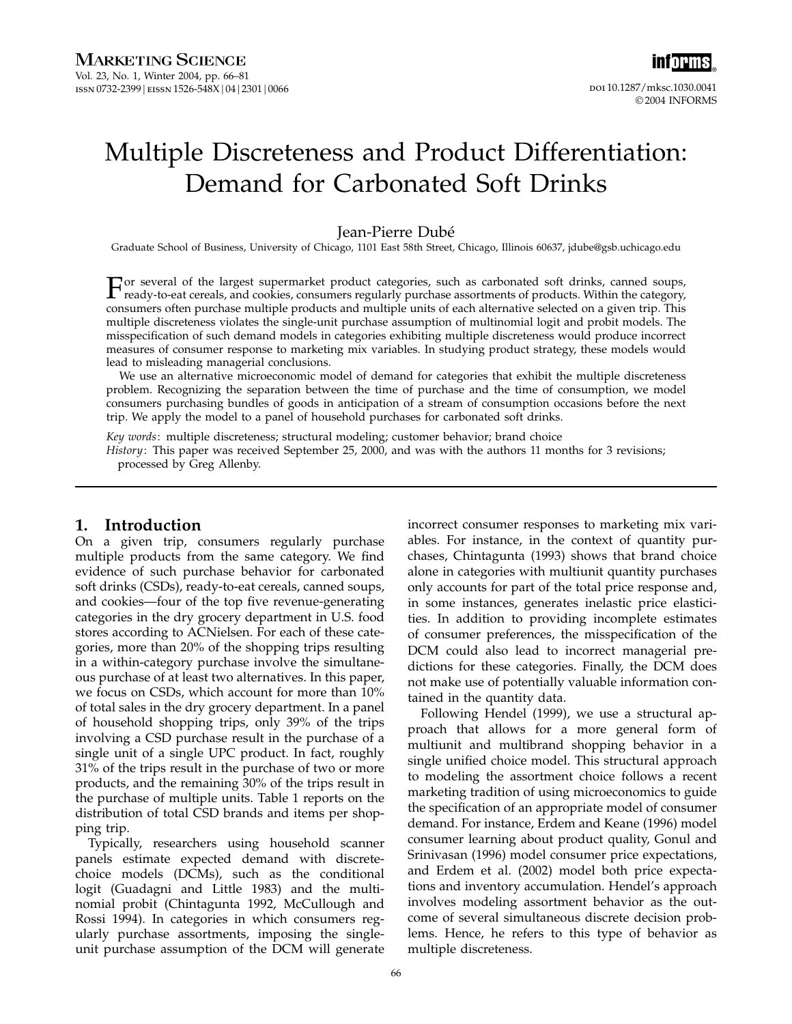# Multiple Discreteness and Product Differentiation: Demand for Carbonated Soft Drinks

# Jean-Pierre Dubé

Graduate School of Business, University of Chicago, 1101 East 58th Street, Chicago, Illinois 60637, jdube@gsb.uchicago.edu

For several of the largest supermarket product categories, such as carbonated soft drinks, canned soups,<br>ready-to-eat cereals, and cookies, consumers regularly purchase assortments of products. Within the category,<br>consume consumers often purchase multiple products and multiple units of each alternative selected on a given trip. This multiple discreteness violates the single-unit purchase assumption of multinomial logit and probit models. The misspecification of such demand models in categories exhibiting multiple discreteness would produce incorrect measures of consumer response to marketing mix variables. In studying product strategy, these models would lead to misleading managerial conclusions.

We use an alternative microeconomic model of demand for categories that exhibit the multiple discreteness problem. Recognizing the separation between the time of purchase and the time of consumption, we model consumers purchasing bundles of goods in anticipation of a stream of consumption occasions before the next trip. We apply the model to a panel of household purchases for carbonated soft drinks.

Key words: multiple discreteness; structural modeling; customer behavior; brand choice History: This paper was received September 25, 2000, and was with the authors 11 months for 3 revisions; processed by Greg Allenby.

# 1. Introduction

On a given trip, consumers regularly purchase multiple products from the same category. We find evidence of such purchase behavior for carbonated soft drinks (CSDs), ready-to-eat cereals, canned soups, and cookies—four of the top five revenue-generating categories in the dry grocery department in U.S. food stores according to ACNielsen. For each of these categories, more than 20% of the shopping trips resulting in a within-category purchase involve the simultaneous purchase of at least two alternatives. In this paper, we focus on CSDs, which account for more than 10% of total sales in the dry grocery department. In a panel of household shopping trips, only 39% of the trips involving a CSD purchase result in the purchase of a single unit of a single UPC product. In fact, roughly 31% of the trips result in the purchase of two or more products, and the remaining 30% of the trips result in the purchase of multiple units. Table 1 reports on the distribution of total CSD brands and items per shopping trip.

Typically, researchers using household scanner panels estimate expected demand with discretechoice models (DCMs), such as the conditional logit (Guadagni and Little 1983) and the multinomial probit (Chintagunta 1992, McCullough and Rossi 1994). In categories in which consumers regularly purchase assortments, imposing the singleunit purchase assumption of the DCM will generate

incorrect consumer responses to marketing mix variables. For instance, in the context of quantity purchases, Chintagunta (1993) shows that brand choice alone in categories with multiunit quantity purchases only accounts for part of the total price response and, in some instances, generates inelastic price elasticities. In addition to providing incomplete estimates of consumer preferences, the misspecification of the DCM could also lead to incorrect managerial predictions for these categories. Finally, the DCM does not make use of potentially valuable information contained in the quantity data.

Following Hendel (1999), we use a structural approach that allows for a more general form of multiunit and multibrand shopping behavior in a single unified choice model. This structural approach to modeling the assortment choice follows a recent marketing tradition of using microeconomics to guide the specification of an appropriate model of consumer demand. For instance, Erdem and Keane (1996) model consumer learning about product quality, Gonul and Srinivasan (1996) model consumer price expectations, and Erdem et al. (2002) model both price expectations and inventory accumulation. Hendel's approach involves modeling assortment behavior as the outcome of several simultaneous discrete decision problems. Hence, he refers to this type of behavior as multiple discreteness.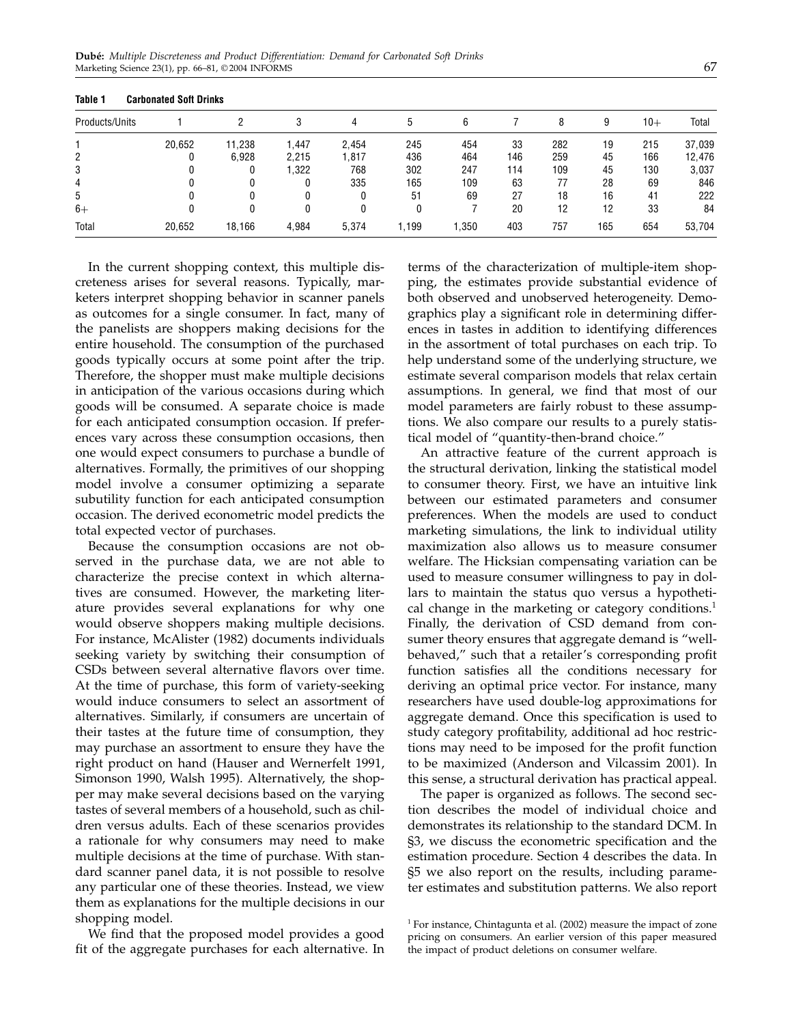| Products/Units |        |        |       |       |       |      |     | 8   | 9   | $10+$ | Total  |
|----------------|--------|--------|-------|-------|-------|------|-----|-----|-----|-------|--------|
|                | 20,652 | 11,238 | 1,447 | 2.454 | 245   | 454  | 33  | 282 | 19  | 215   | 37,039 |
| 2              |        | 6,928  | 2,215 | .817  | 436   | 464  | 146 | 259 | 45  | 166   | 12,476 |
| 3              |        | 0      | 1,322 | 768   | 302   | 247  | 114 | 109 | 45  | 130   | 3,037  |
| 4              |        | 0      | 0     | 335   | 165   | 109  | 63  | 77  | 28  | 69    | 846    |
| 5              |        | 0      | 0     |       | 51    | 69   | 27  | 18  | 16  | 41    | 222    |
| $6+$           |        | 0      | 0     |       | 0     |      | 20  | 12  | 12  | 33    | 84     |
| Total          | 20,652 | 18,166 | 4,984 | 5,374 | 1,199 | ,350 | 403 | 757 | 165 | 654   | 53,704 |

|  | Table 1 | <b>Carbonated Soft Drinks</b> |  |
|--|---------|-------------------------------|--|
|--|---------|-------------------------------|--|

In the current shopping context, this multiple discreteness arises for several reasons. Typically, marketers interpret shopping behavior in scanner panels as outcomes for a single consumer. In fact, many of the panelists are shoppers making decisions for the entire household. The consumption of the purchased goods typically occurs at some point after the trip. Therefore, the shopper must make multiple decisions in anticipation of the various occasions during which goods will be consumed. A separate choice is made for each anticipated consumption occasion. If preferences vary across these consumption occasions, then one would expect consumers to purchase a bundle of alternatives. Formally, the primitives of our shopping model involve a consumer optimizing a separate subutility function for each anticipated consumption occasion. The derived econometric model predicts the total expected vector of purchases.

Because the consumption occasions are not observed in the purchase data, we are not able to characterize the precise context in which alternatives are consumed. However, the marketing literature provides several explanations for why one would observe shoppers making multiple decisions. For instance, McAlister (1982) documents individuals seeking variety by switching their consumption of CSDs between several alternative flavors over time. At the time of purchase, this form of variety-seeking would induce consumers to select an assortment of alternatives. Similarly, if consumers are uncertain of their tastes at the future time of consumption, they may purchase an assortment to ensure they have the right product on hand (Hauser and Wernerfelt 1991, Simonson 1990, Walsh 1995). Alternatively, the shopper may make several decisions based on the varying tastes of several members of a household, such as children versus adults. Each of these scenarios provides a rationale for why consumers may need to make multiple decisions at the time of purchase. With standard scanner panel data, it is not possible to resolve any particular one of these theories. Instead, we view them as explanations for the multiple decisions in our shopping model.

We find that the proposed model provides a good fit of the aggregate purchases for each alternative. In terms of the characterization of multiple-item shopping, the estimates provide substantial evidence of both observed and unobserved heterogeneity. Demographics play a significant role in determining differences in tastes in addition to identifying differences in the assortment of total purchases on each trip. To help understand some of the underlying structure, we estimate several comparison models that relax certain assumptions. In general, we find that most of our model parameters are fairly robust to these assumptions. We also compare our results to a purely statistical model of "quantity-then-brand choice."

An attractive feature of the current approach is the structural derivation, linking the statistical model to consumer theory. First, we have an intuitive link between our estimated parameters and consumer preferences. When the models are used to conduct marketing simulations, the link to individual utility maximization also allows us to measure consumer welfare. The Hicksian compensating variation can be used to measure consumer willingness to pay in dollars to maintain the status quo versus a hypothetical change in the marketing or category conditions.<sup>1</sup> Finally, the derivation of CSD demand from consumer theory ensures that aggregate demand is "wellbehaved," such that a retailer's corresponding profit function satisfies all the conditions necessary for deriving an optimal price vector. For instance, many researchers have used double-log approximations for aggregate demand. Once this specification is used to study category profitability, additional ad hoc restrictions may need to be imposed for the profit function to be maximized (Anderson and Vilcassim 2001). In this sense, a structural derivation has practical appeal.

The paper is organized as follows. The second section describes the model of individual choice and demonstrates its relationship to the standard DCM. In §3, we discuss the econometric specification and the estimation procedure. Section 4 describes the data. In §5 we also report on the results, including parameter estimates and substitution patterns. We also report

 $1$  For instance, Chintagunta et al. (2002) measure the impact of zone pricing on consumers. An earlier version of this paper measured the impact of product deletions on consumer welfare.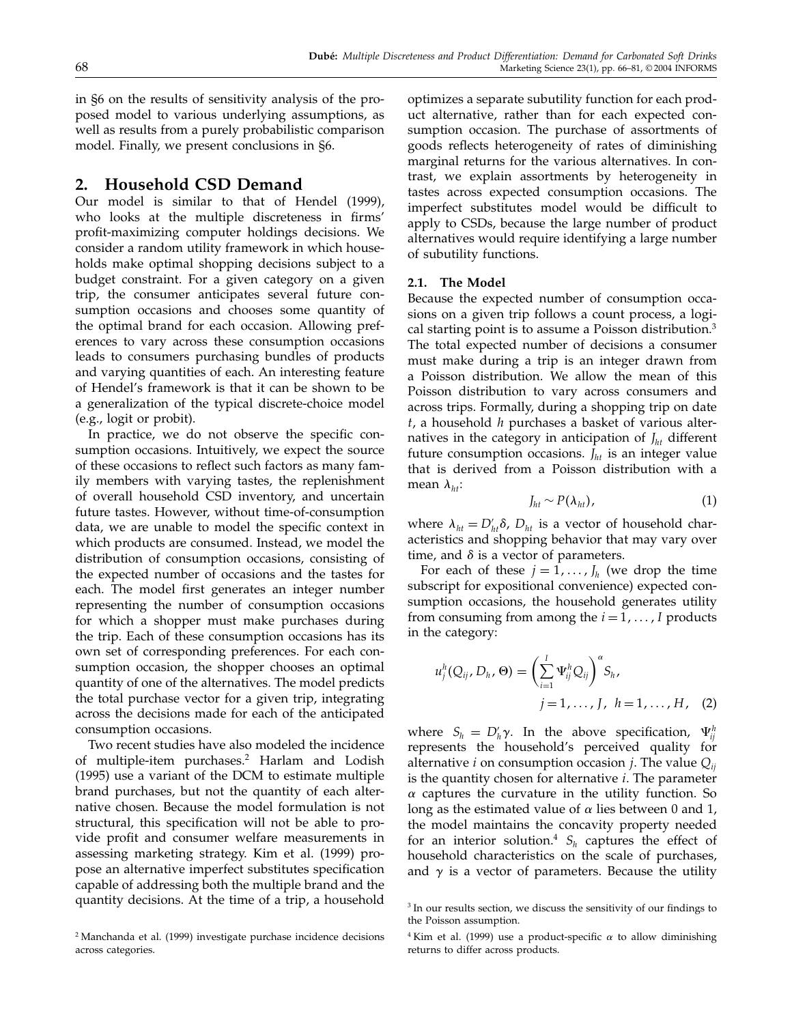in §6 on the results of sensitivity analysis of the proposed model to various underlying assumptions, as well as results from a purely probabilistic comparison model. Finally, we present conclusions in §6.

# 2. Household CSD Demand

Our model is similar to that of Hendel (1999), who looks at the multiple discreteness in firms' profit-maximizing computer holdings decisions. We consider a random utility framework in which households make optimal shopping decisions subject to a budget constraint. For a given category on a given trip, the consumer anticipates several future consumption occasions and chooses some quantity of the optimal brand for each occasion. Allowing preferences to vary across these consumption occasions leads to consumers purchasing bundles of products and varying quantities of each. An interesting feature of Hendel's framework is that it can be shown to be a generalization of the typical discrete-choice model (e.g., logit or probit).

In practice, we do not observe the specific consumption occasions. Intuitively, we expect the source of these occasions to reflect such factors as many family members with varying tastes, the replenishment of overall household CSD inventory, and uncertain future tastes. However, without time-of-consumption data, we are unable to model the specific context in which products are consumed. Instead, we model the distribution of consumption occasions, consisting of the expected number of occasions and the tastes for each. The model first generates an integer number representing the number of consumption occasions for which a shopper must make purchases during the trip. Each of these consumption occasions has its own set of corresponding preferences. For each consumption occasion, the shopper chooses an optimal quantity of one of the alternatives. The model predicts the total purchase vector for a given trip, integrating across the decisions made for each of the anticipated consumption occasions.

Two recent studies have also modeled the incidence of multiple-item purchases.<sup>2</sup> Harlam and Lodish (1995) use a variant of the DCM to estimate multiple brand purchases, but not the quantity of each alternative chosen. Because the model formulation is not structural, this specification will not be able to provide profit and consumer welfare measurements in assessing marketing strategy. Kim et al. (1999) propose an alternative imperfect substitutes specification capable of addressing both the multiple brand and the quantity decisions. At the time of a trip, a household

optimizes a separate subutility function for each product alternative, rather than for each expected consumption occasion. The purchase of assortments of goods reflects heterogeneity of rates of diminishing marginal returns for the various alternatives. In contrast, we explain assortments by heterogeneity in tastes across expected consumption occasions. The imperfect substitutes model would be difficult to apply to CSDs, because the large number of product alternatives would require identifying a large number of subutility functions.

## 2.1. The Model

Because the expected number of consumption occasions on a given trip follows a count process, a logical starting point is to assume a Poisson distribution.3 The total expected number of decisions a consumer must make during a trip is an integer drawn from a Poisson distribution. We allow the mean of this Poisson distribution to vary across consumers and across trips. Formally, during a shopping trip on date  $t$ , a household  $h$  purchases a basket of various alternatives in the category in anticipation of  $J_{ht}$  different future consumption occasions.  $J_{ht}$  is an integer value that is derived from a Poisson distribution with a mean  $\lambda_{ht}$ :

$$
J_{ht} \sim P(\lambda_{ht}), \qquad (1)
$$

where  $\lambda_{ht} = D'_{ht} \delta$ ,  $D_{ht}$  is a vector of household characteristics and shopping behavior that may vary over time, and  $\delta$  is a vector of parameters.

For each of these  $j = 1, \ldots, J_h$  (we drop the time subscript for expositional convenience) expected consumption occasions, the household generates utility from consuming from among the  $i = 1, \ldots, I$  products in the category:

$$
u_j^h(Q_{ij}, D_h, \Theta) = \left(\sum_{i=1}^I \Psi_{ij}^h Q_{ij}\right)^{\alpha} S_h,
$$
  
 
$$
j = 1, ..., J, \ h = 1, ..., H, \quad (2)
$$

where  $S_h = D'_h \gamma$ . In the above specification,  $\Psi_{ij}^h$ represents the household's perceived quality for alternative *i* on consumption occasion *j*. The value  $Q_{ii}$ is the quantity chosen for alternative  $i$ . The parameter  $\alpha$  captures the curvature in the utility function. So long as the estimated value of  $\alpha$  lies between 0 and 1, the model maintains the concavity property needed for an interior solution.<sup>4</sup>  $S_h$  captures the effect of household characteristics on the scale of purchases, and  $\gamma$  is a vector of parameters. Because the utility

<sup>2</sup> Manchanda et al. (1999) investigate purchase incidence decisions across categories.

<sup>&</sup>lt;sup>3</sup> In our results section, we discuss the sensitivity of our findings to the Poisson assumption.

<sup>&</sup>lt;sup>4</sup> Kim et al. (1999) use a product-specific  $\alpha$  to allow diminishing returns to differ across products.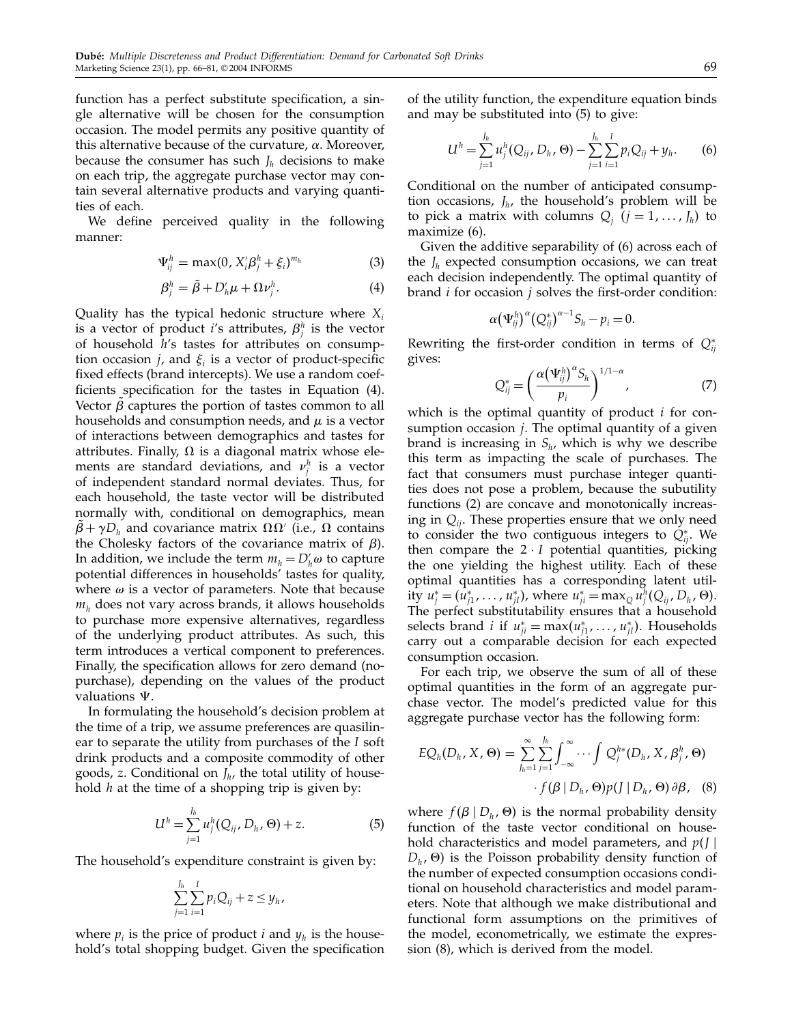function has a perfect substitute specification, a single alternative will be chosen for the consumption occasion. The model permits any positive quantity of this alternative because of the curvature,  $\alpha$ . Moreover, because the consumer has such  $J_h$  decisions to make on each trip, the aggregate purchase vector may contain several alternative products and varying quantities of each.

We define perceived quality in the following manner:

$$
\Psi_{ij}^h = \max(0, X_i'\beta_j^h + \xi_i)^{m_h} \tag{3}
$$

$$
\beta_j^h = \tilde{\beta} + D_h' \mu + \Omega \nu_j^h. \tag{4}
$$

Quality has the typical hedonic structure where  $X_i$ is a vector of product i's attributes,  $\beta_j^h$  is the vector of household h's tastes for attributes on consumption occasion *j*, and  $\xi$ <sup>*i*</sup> is a vector of product-specific fixed effects (brand intercepts). We use a random coefficients specification for the tastes in Equation (4). Vector  $\beta$  captures the portion of tastes common to all households and consumption needs, and  $\mu$  is a vector of interactions between demographics and tastes for attributes. Finally,  $\Omega$  is a diagonal matrix whose elements are standard deviations, and  $\nu_j^h$  is a vector of independent standard normal deviates. Thus, for each household, the taste vector will be distributed normally with, conditional on demographics, mean  $\beta + \gamma D_h$  and covariance matrix  $\Omega \Omega'$  (i.e.,  $\Omega$  contains the Cholesky factors of the covariance matrix of  $\beta$ ). In addition, we include the term  $m_h = D'_h \omega$  to capture potential differences in households' tastes for quality, where  $\omega$  is a vector of parameters. Note that because  $m_h$  does not vary across brands, it allows households to purchase more expensive alternatives, regardless of the underlying product attributes. As such, this term introduces a vertical component to preferences. Finally, the specification allows for zero demand (nopurchase), depending on the values of the product valuations  $\Psi$ .

In formulating the household's decision problem at the time of a trip, we assume preferences are quasilinear to separate the utility from purchases of the I soft drink products and a composite commodity of other goods, z. Conditional on  $J_{h}$ , the total utility of household  $h$  at the time of a shopping trip is given by:

$$
U^h = \sum_{j=1}^{J_h} u_j^h(Q_{ij}, D_h, \Theta) + z.
$$
 (5)

The household's expenditure constraint is given by:

$$
\sum_{j=1}^{J_h}\sum_{i=1}^I p_i Q_{ij} + z \le y_h,
$$

where  $p_i$  is the price of product *i* and  $y_h$  is the household's total shopping budget. Given the specification of the utility function, the expenditure equation binds and may be substituted into (5) to give:

$$
U^h = \sum_{j=1}^{J_h} u_j^h(Q_{ij}, D_h, \Theta) - \sum_{j=1}^{J_h} \sum_{i=1}^{I} p_i Q_{ij} + y_h.
$$
 (6)

Conditional on the number of anticipated consumption occasions,  $J_{h}$ , the household's problem will be to pick a matrix with columns  $Q_i$   $(j = 1, \ldots, J_h)$  to maximize (6).

Given the additive separability of (6) across each of the  $J_h$  expected consumption occasions, we can treat each decision independently. The optimal quantity of brand  $i$  for occasion  $j$  solves the first-order condition:

$$
\alpha \big(\Psi_{ij}^h\big)^{\alpha} \big(Q_{ij}^*\big)^{\alpha-1} S_h - p_i = 0.
$$

Rewriting the first-order condition in terms of  $Q_{ij}^*$ gives:

$$
Q_{ij}^* = \left(\frac{\alpha \left(\Psi_{ij}^h\right)^{\alpha} S_h}{p_i}\right)^{1/1-\alpha},\tag{7}
$$

which is the optimal quantity of product  $i$  for consumption occasion  $j$ . The optimal quantity of a given brand is increasing in  $S<sub>h</sub>$ , which is why we describe this term as impacting the scale of purchases. The fact that consumers must purchase integer quantities does not pose a problem, because the subutility functions (2) are concave and monotonically increasing in  $Q_{ii}$ . These properties ensure that we only need to consider the two contiguous integers to  $Q_{ij}^*.$  We then compare the  $2 \cdot I$  potential quantities, picking the one yielding the highest utility. Each of these optimal quantities has a corresponding latent utility  $u_j^* = (u_{j1}^*, \dots, u_{j1}^*)$ , where  $u_{ji}^* = \max_{Q} u_j^h(Q_{ij}, D_h, \Theta)$ . The perfect substitutability ensures that a household selects brand *i* if  $u_{ji}^* = \max(u_{j1}^*, \ldots, u_{jl}^*)$ . Households carry out a comparable decision for each expected consumption occasion.

For each trip, we observe the sum of all of these optimal quantities in the form of an aggregate purchase vector. The model's predicted value for this aggregate purchase vector has the following form:

$$
EQ_h(D_h, X, \Theta) = \sum_{j_h=1}^{\infty} \sum_{j=1}^{j_h} \int_{-\infty}^{\infty} \cdots \int Q_j^{h*}(D_h, X, \beta_j^h, \Theta)
$$

$$
\cdot f(\beta | D_h, \Theta) p(J | D_h, \Theta) \partial \beta, \quad (8)
$$

where  $f(\beta | D_h, \Theta)$  is the normal probability density function of the taste vector conditional on household characteristics and model parameters, and  $p(J \mid$  $D_h$ ,  $\Theta$ ) is the Poisson probability density function of the number of expected consumption occasions conditional on household characteristics and model parameters. Note that although we make distributional and functional form assumptions on the primitives of the model, econometrically, we estimate the expression (8), which is derived from the model.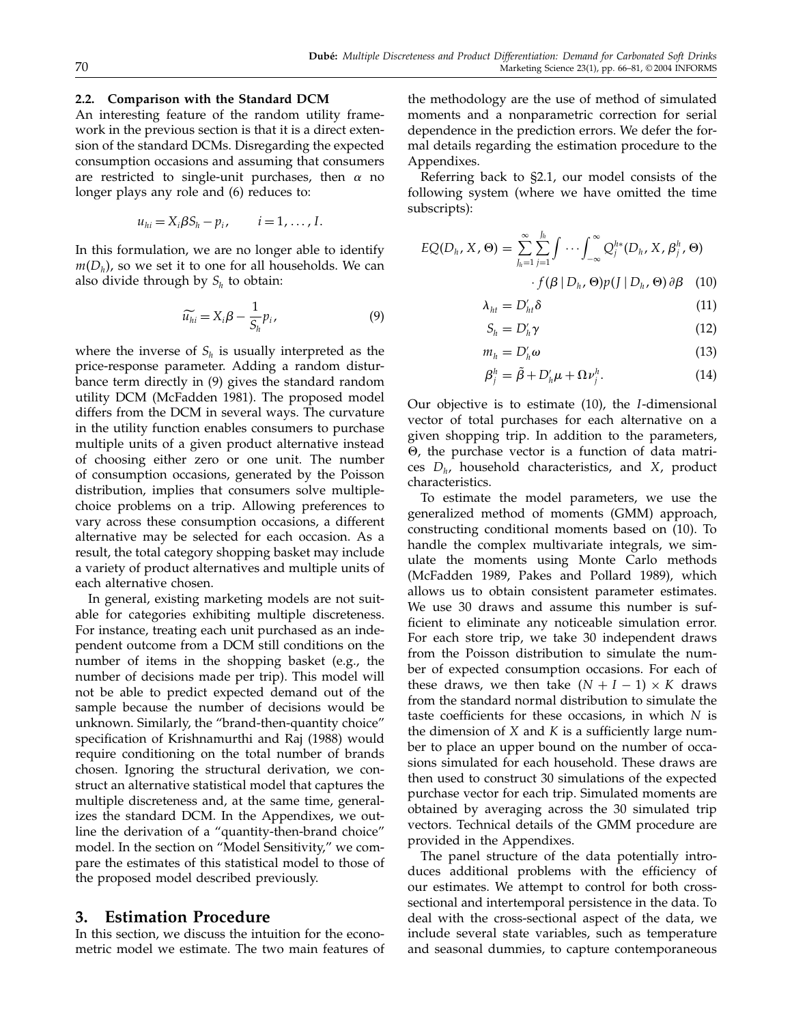## 2.2. Comparison with the Standard DCM

An interesting feature of the random utility framework in the previous section is that it is a direct extension of the standard DCMs. Disregarding the expected consumption occasions and assuming that consumers are restricted to single-unit purchases, then  $\alpha$  no longer plays any role and (6) reduces to:

$$
u_{hi} = X_i \beta S_h - p_i, \qquad i = 1, \ldots, I.
$$

In this formulation, we are no longer able to identify  $m(D_h)$ , so we set it to one for all households. We can also divide through by  $S_h$  to obtain:

$$
\widetilde{u_{hi}} = X_i \beta - \frac{1}{S_h} p_i, \tag{9}
$$

where the inverse of  $S_h$  is usually interpreted as the price-response parameter. Adding a random disturbance term directly in (9) gives the standard random utility DCM (McFadden 1981). The proposed model differs from the DCM in several ways. The curvature in the utility function enables consumers to purchase multiple units of a given product alternative instead of choosing either zero or one unit. The number of consumption occasions, generated by the Poisson distribution, implies that consumers solve multiplechoice problems on a trip. Allowing preferences to vary across these consumption occasions, a different alternative may be selected for each occasion. As a result, the total category shopping basket may include a variety of product alternatives and multiple units of each alternative chosen.

In general, existing marketing models are not suitable for categories exhibiting multiple discreteness. For instance, treating each unit purchased as an independent outcome from a DCM still conditions on the number of items in the shopping basket (e.g., the number of decisions made per trip). This model will not be able to predict expected demand out of the sample because the number of decisions would be unknown. Similarly, the "brand-then-quantity choice" specification of Krishnamurthi and Raj (1988) would require conditioning on the total number of brands chosen. Ignoring the structural derivation, we construct an alternative statistical model that captures the multiple discreteness and, at the same time, generalizes the standard DCM. In the Appendixes, we outline the derivation of a "quantity-then-brand choice" model. In the section on "Model Sensitivity," we compare the estimates of this statistical model to those of the proposed model described previously.

## 3. Estimation Procedure

In this section, we discuss the intuition for the econometric model we estimate. The two main features of

the methodology are the use of method of simulated moments and a nonparametric correction for serial dependence in the prediction errors. We defer the formal details regarding the estimation procedure to the Appendixes.

Referring back to §2.1, our model consists of the following system (where we have omitted the time subscripts):

$$
EQ(D_h, X, \Theta) = \sum_{j_h=1}^{\infty} \sum_{j=1}^{j_h} \int \cdots \int_{-\infty}^{\infty} Q_j^{h*}(D_h, X, \beta_j^h, \Theta)
$$

$$
\cdot f(\beta | D_h, \Theta) p(J | D_h, \Theta) \partial \beta \quad (10)
$$

$$
\lambda_{ht} = D'_{ht} \delta \tag{11}
$$

$$
S_h = D'_h \gamma \tag{12}
$$

$$
m_h = D'_h \omega \tag{13}
$$

$$
\beta_j^h = \tilde{\beta} + D_h' \mu + \Omega \nu_j^h. \tag{14}
$$

Our objective is to estimate (10), the I-dimensional vector of total purchases for each alternative on a given shopping trip. In addition to the parameters, , the purchase vector is a function of data matrices  $D_h$ , household characteristics, and X, product characteristics.

To estimate the model parameters, we use the generalized method of moments (GMM) approach, constructing conditional moments based on (10). To handle the complex multivariate integrals, we simulate the moments using Monte Carlo methods (McFadden 1989, Pakes and Pollard 1989), which allows us to obtain consistent parameter estimates. We use 30 draws and assume this number is sufficient to eliminate any noticeable simulation error. For each store trip, we take 30 independent draws from the Poisson distribution to simulate the number of expected consumption occasions. For each of these draws, we then take  $(N + I - 1) \times K$  draws from the standard normal distribution to simulate the taste coefficients for these occasions, in which  $N$  is the dimension of  $X$  and  $K$  is a sufficiently large number to place an upper bound on the number of occasions simulated for each household. These draws are then used to construct 30 simulations of the expected purchase vector for each trip. Simulated moments are obtained by averaging across the 30 simulated trip vectors. Technical details of the GMM procedure are provided in the Appendixes.

The panel structure of the data potentially introduces additional problems with the efficiency of our estimates. We attempt to control for both crosssectional and intertemporal persistence in the data. To deal with the cross-sectional aspect of the data, we include several state variables, such as temperature and seasonal dummies, to capture contemporaneous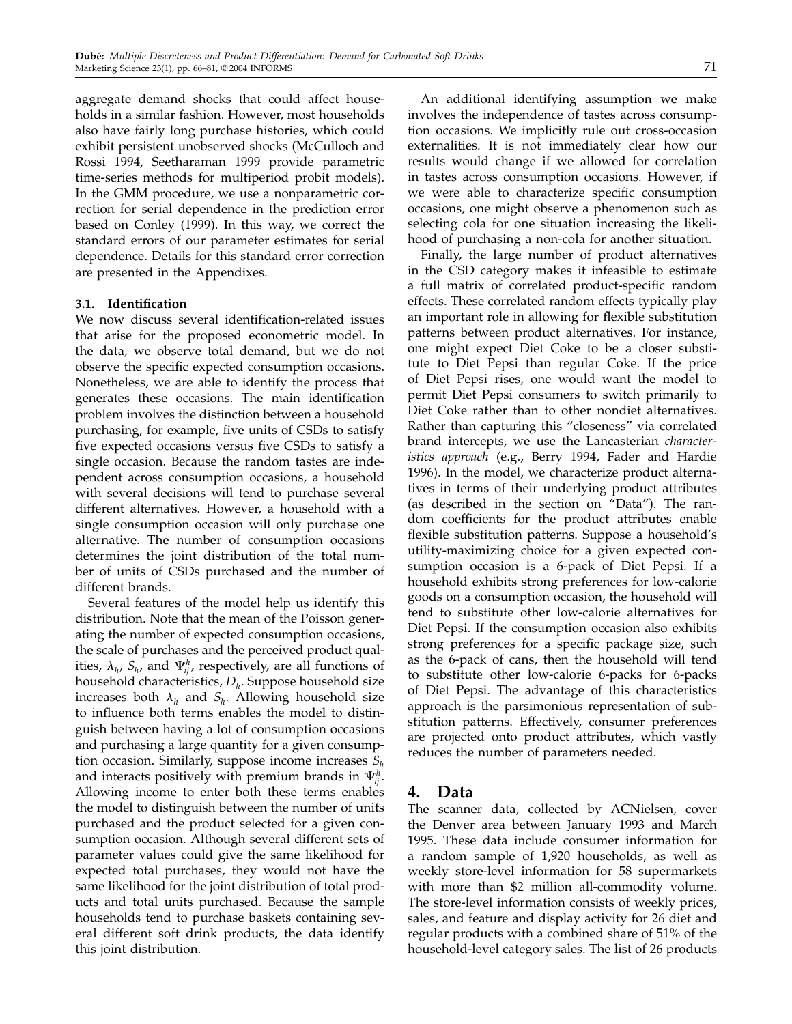aggregate demand shocks that could affect households in a similar fashion. However, most households also have fairly long purchase histories, which could exhibit persistent unobserved shocks (McCulloch and Rossi 1994, Seetharaman 1999 provide parametric time-series methods for multiperiod probit models). In the GMM procedure, we use a nonparametric correction for serial dependence in the prediction error based on Conley (1999). In this way, we correct the standard errors of our parameter estimates for serial dependence. Details for this standard error correction are presented in the Appendixes.

### 3.1. Identification

We now discuss several identification-related issues that arise for the proposed econometric model. In the data, we observe total demand, but we do not observe the specific expected consumption occasions. Nonetheless, we are able to identify the process that generates these occasions. The main identification problem involves the distinction between a household purchasing, for example, five units of CSDs to satisfy five expected occasions versus five CSDs to satisfy a single occasion. Because the random tastes are independent across consumption occasions, a household with several decisions will tend to purchase several different alternatives. However, a household with a single consumption occasion will only purchase one alternative. The number of consumption occasions determines the joint distribution of the total number of units of CSDs purchased and the number of different brands.

Several features of the model help us identify this distribution. Note that the mean of the Poisson generating the number of expected consumption occasions, the scale of purchases and the perceived product qualities,  $\lambda_h$ ,  $S_h$ , and  $\Psi_{ij}^h$ , respectively, are all functions of household characteristics,  $D_h$ . Suppose household size increases both  $\lambda_h$  and  $S_h$ . Allowing household size to influence both terms enables the model to distinguish between having a lot of consumption occasions and purchasing a large quantity for a given consumption occasion. Similarly, suppose income increases  $S_h$ and interacts positively with premium brands in  $\Psi_{ij}^h$ . Allowing income to enter both these terms enables the model to distinguish between the number of units purchased and the product selected for a given consumption occasion. Although several different sets of parameter values could give the same likelihood for expected total purchases, they would not have the same likelihood for the joint distribution of total products and total units purchased. Because the sample households tend to purchase baskets containing several different soft drink products, the data identify this joint distribution.

An additional identifying assumption we make involves the independence of tastes across consumption occasions. We implicitly rule out cross-occasion externalities. It is not immediately clear how our results would change if we allowed for correlation in tastes across consumption occasions. However, if we were able to characterize specific consumption occasions, one might observe a phenomenon such as selecting cola for one situation increasing the likelihood of purchasing a non-cola for another situation.

Finally, the large number of product alternatives in the CSD category makes it infeasible to estimate a full matrix of correlated product-specific random effects. These correlated random effects typically play an important role in allowing for flexible substitution patterns between product alternatives. For instance, one might expect Diet Coke to be a closer substitute to Diet Pepsi than regular Coke. If the price of Diet Pepsi rises, one would want the model to permit Diet Pepsi consumers to switch primarily to Diet Coke rather than to other nondiet alternatives. Rather than capturing this "closeness" via correlated brand intercepts, we use the Lancasterian characteristics approach (e.g., Berry 1994, Fader and Hardie 1996). In the model, we characterize product alternatives in terms of their underlying product attributes (as described in the section on "Data"). The random coefficients for the product attributes enable flexible substitution patterns. Suppose a household's utility-maximizing choice for a given expected consumption occasion is a 6-pack of Diet Pepsi. If a household exhibits strong preferences for low-calorie goods on a consumption occasion, the household will tend to substitute other low-calorie alternatives for Diet Pepsi. If the consumption occasion also exhibits strong preferences for a specific package size, such as the 6-pack of cans, then the household will tend to substitute other low-calorie 6-packs for 6-packs of Diet Pepsi. The advantage of this characteristics approach is the parsimonious representation of substitution patterns. Effectively, consumer preferences are projected onto product attributes, which vastly reduces the number of parameters needed.

# 4. Data

The scanner data, collected by ACNielsen, cover the Denver area between January 1993 and March 1995. These data include consumer information for a random sample of 1,920 households, as well as weekly store-level information for 58 supermarkets with more than \$2 million all-commodity volume. The store-level information consists of weekly prices, sales, and feature and display activity for 26 diet and regular products with a combined share of 51% of the household-level category sales. The list of 26 products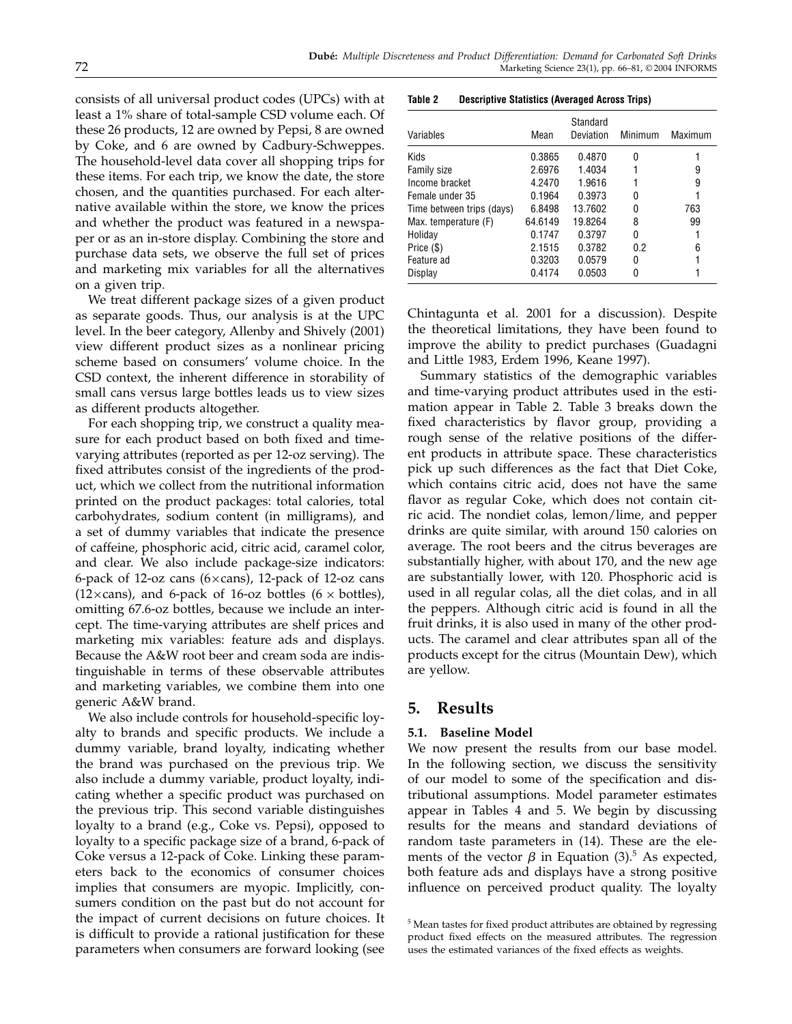consists of all universal product codes (UPCs) with at least a 1% share of total-sample CSD volume each. Of these 26 products, 12 are owned by Pepsi, 8 are owned by Coke, and 6 are owned by Cadbury-Schweppes. The household-level data cover all shopping trips for these items. For each trip, we know the date, the store chosen, and the quantities purchased. For each alternative available within the store, we know the prices and whether the product was featured in a newspaper or as an in-store display. Combining the store and purchase data sets, we observe the full set of prices and marketing mix variables for all the alternatives on a given trip.

We treat different package sizes of a given product as separate goods. Thus, our analysis is at the UPC level. In the beer category, Allenby and Shively (2001) view different product sizes as a nonlinear pricing scheme based on consumers' volume choice. In the CSD context, the inherent difference in storability of small cans versus large bottles leads us to view sizes as different products altogether.

For each shopping trip, we construct a quality measure for each product based on both fixed and timevarying attributes (reported as per 12-oz serving). The fixed attributes consist of the ingredients of the product, which we collect from the nutritional information printed on the product packages: total calories, total carbohydrates, sodium content (in milligrams), and a set of dummy variables that indicate the presence of caffeine, phosphoric acid, citric acid, caramel color, and clear. We also include package-size indicators: 6-pack of 12-oz cans ( $6 \times$ cans), 12-pack of 12-oz cans (12 $\times$ cans), and 6-pack of 16-oz bottles (6  $\times$  bottles), omitting 67.6-oz bottles, because we include an intercept. The time-varying attributes are shelf prices and marketing mix variables: feature ads and displays. Because the A&W root beer and cream soda are indistinguishable in terms of these observable attributes and marketing variables, we combine them into one generic A&W brand.

We also include controls for household-specific loyalty to brands and specific products. We include a dummy variable, brand loyalty, indicating whether the brand was purchased on the previous trip. We also include a dummy variable, product loyalty, indicating whether a specific product was purchased on the previous trip. This second variable distinguishes loyalty to a brand (e.g., Coke vs. Pepsi), opposed to loyalty to a specific package size of a brand, 6-pack of Coke versus a 12-pack of Coke. Linking these parameters back to the economics of consumer choices implies that consumers are myopic. Implicitly, consumers condition on the past but do not account for the impact of current decisions on future choices. It is difficult to provide a rational justification for these parameters when consumers are forward looking (see

| <b>Descriptive Statistics (Averaged Across Trips)</b><br>Table 2 |  |  |
|------------------------------------------------------------------|--|--|
|------------------------------------------------------------------|--|--|

| Variables                 | Mean    | Standard<br>Deviation | Minimum | Maximum |
|---------------------------|---------|-----------------------|---------|---------|
| Kids                      | 0.3865  | 0.4870                | 0       |         |
| Family size               | 2.6976  | 1.4034                |         | 9       |
| Income bracket            | 4.2470  | 1.9616                |         | 9       |
| Female under 35           | 0.1964  | 0.3973                | 0       |         |
| Time between trips (days) | 6.8498  | 13.7602               | 0       | 763     |
| Max. temperature (F)      | 64.6149 | 19.8264               | 8       | 99      |
| Holiday                   | 0.1747  | 0.3797                | 0       |         |
| Price (\$)                | 2.1515  | 0.3782                | 0.2     | 6       |
| Feature ad                | 0.3203  | 0.0579                | 0       |         |
| Display                   | 0.4174  | 0.0503                |         |         |

Chintagunta et al. 2001 for a discussion). Despite the theoretical limitations, they have been found to improve the ability to predict purchases (Guadagni and Little 1983, Erdem 1996, Keane 1997).

Summary statistics of the demographic variables and time-varying product attributes used in the estimation appear in Table 2. Table 3 breaks down the fixed characteristics by flavor group, providing a rough sense of the relative positions of the different products in attribute space. These characteristics pick up such differences as the fact that Diet Coke, which contains citric acid, does not have the same flavor as regular Coke, which does not contain citric acid. The nondiet colas, lemon/lime, and pepper drinks are quite similar, with around 150 calories on average. The root beers and the citrus beverages are substantially higher, with about 170, and the new age are substantially lower, with 120. Phosphoric acid is used in all regular colas, all the diet colas, and in all the peppers. Although citric acid is found in all the fruit drinks, it is also used in many of the other products. The caramel and clear attributes span all of the products except for the citrus (Mountain Dew), which are yellow.

# 5. Results

### 5.1. Baseline Model

We now present the results from our base model. In the following section, we discuss the sensitivity of our model to some of the specification and distributional assumptions. Model parameter estimates appear in Tables 4 and 5. We begin by discussing results for the means and standard deviations of random taste parameters in (14). These are the elements of the vector  $\beta$  in Equation (3).<sup>5</sup> As expected, both feature ads and displays have a strong positive influence on perceived product quality. The loyalty

<sup>&</sup>lt;sup>5</sup> Mean tastes for fixed product attributes are obtained by regressing product fixed effects on the measured attributes. The regression uses the estimated variances of the fixed effects as weights.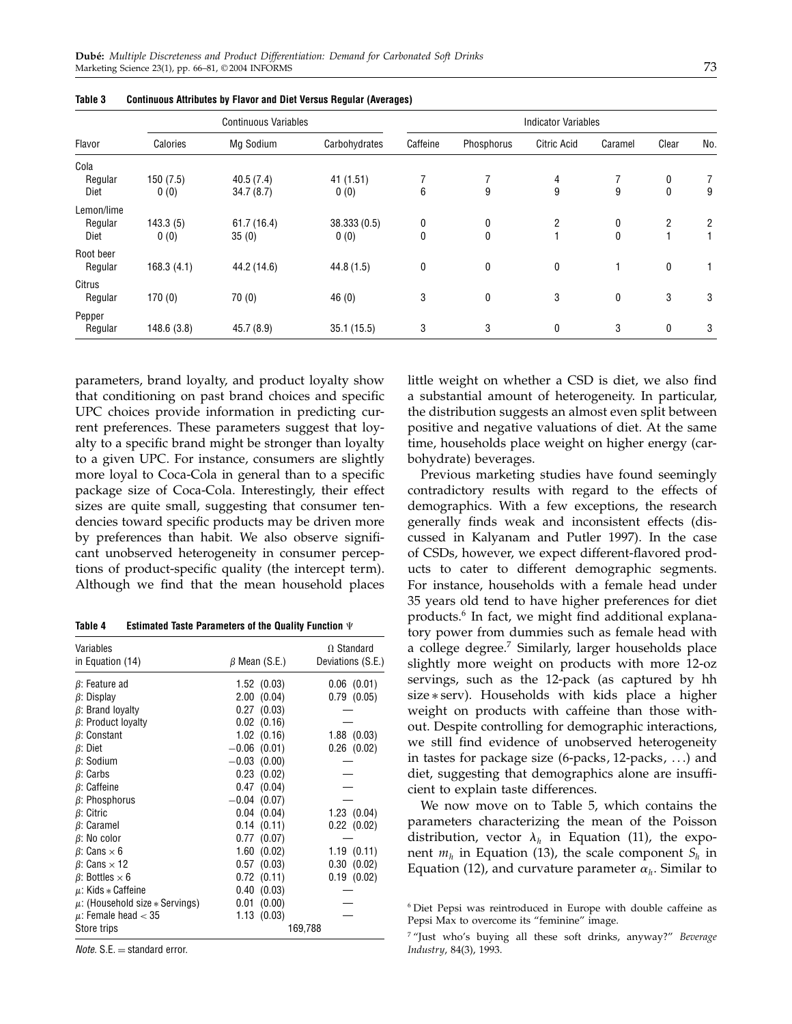| Flavor                        |                  | <b>Continuous Variables</b> | <b>Indicator Variables</b> |          |            |                     |         |        |     |
|-------------------------------|------------------|-----------------------------|----------------------------|----------|------------|---------------------|---------|--------|-----|
|                               | Calories         | Mg Sodium                   | Carbohydrates              | Caffeine | Phosphorus | Citric Acid         | Caramel | Clear  | No. |
| Cola<br>Regular<br>Diet       | 150(7.5)<br>0(0) | 40.5(7.4)<br>34.7(8.7)      | 41(1.51)<br>0(0)           | 6        | 7<br>9     | $\overline{4}$<br>9 | 9       | 0<br>0 | 9   |
| Lemon/lime<br>Regular<br>Diet | 143.3(5)<br>0(0) | 61.7(16.4)<br>35(0)         | 38.333 (0.5)<br>0(0)       | 0<br>0   | 0<br>0     | 2                   | 0<br>0  | 2      | 2   |
| Root beer<br>Regular          | 168.3(4.1)       | 44.2 (14.6)                 | 44.8(1.5)                  | 0        | 0          | 0                   |         | 0      |     |
| Citrus<br>Regular             | 170(0)           | 70(0)                       | 46(0)                      | 3        | 0          | 3                   | 0       | 3      | 3   |
| Pepper<br>Regular             | 148.6(3.8)       | 45.7(8.9)                   | 35.1(15.5)                 | 3        | 3          | 0                   | 3       | 0      | 3   |

Table 3 Continuous Attributes by Flavor and Diet Versus Regular (Averages)

parameters, brand loyalty, and product loyalty show that conditioning on past brand choices and specific UPC choices provide information in predicting current preferences. These parameters suggest that loyalty to a specific brand might be stronger than loyalty to a given UPC. For instance, consumers are slightly more loyal to Coca-Cola in general than to a specific package size of Coca-Cola. Interestingly, their effect sizes are quite small, suggesting that consumer tendencies toward specific products may be driven more by preferences than habit. We also observe significant unobserved heterogeneity in consumer perceptions of product-specific quality (the intercept term). Although we find that the mean household places

Table 4 Estimated Taste Parameters of the Quality Function  $\Psi$ 

| Variables<br>in Equation (14)         | $\beta$ Mean (S.E.) | $\Omega$ Standard<br>Deviations (S.E.) |
|---------------------------------------|---------------------|----------------------------------------|
| $\beta$ : Feature ad                  | 1.52(0.03)          | $0.06$ $(0.01)$                        |
| $\beta$ : Display                     | 2.00(0.04)          | 0.79(0.05)                             |
| $\beta$ : Brand loyalty               | 0.27(0.03)          |                                        |
| $\beta$ : Product loyalty             | $0.02$ $(0.16)$     |                                        |
| $\beta$ : Constant                    | $1.02$ $(0.16)$     | 1.88(0.03)                             |
| $\beta$ : Diet                        | $-0.06$ (0.01)      | $0.26$ $(0.02)$                        |
| $\beta$ : Sodium                      | $-0.03$ (0.00)      |                                        |
| $\beta$ : Carbs                       | $0.23$ $(0.02)$     |                                        |
| $\beta$ : Caffeine                    | 0.47(0.04)          |                                        |
| $\beta$ : Phosphorus                  | $-0.04$ (0.07)      |                                        |
| $\beta$ : Citric                      | $0.04$ $(0.04)$     | 1.23(0.04)                             |
| $\beta$ : Caramel                     | 0.14(0.11)          | $0.22$ $(0.02)$                        |
| $\beta$ : No color                    | 0.77(0.07)          |                                        |
| $\beta$ : Cans $\times$ 6             | 1.60(0.02)          | 1.19(0.11)                             |
| $\beta$ : Cans $\times$ 12            | (0.03)<br>0.57      | 0.30(0.02)                             |
| $\beta$ : Bottles $\times$ 6          | 0.72(0.11)          | 0.19(0.02)                             |
| $\mu$ : Kids $\ast$ Caffeine          | 0.40<br>(0.03)      |                                        |
| $\mu$ : (Household size $*$ Servings) | (0.00)<br>0.01      |                                        |
| $\mu$ : Female head $< 35$            | 1.13(0.03)          |                                        |
| Store trips                           |                     | 169,788                                |

*Note.*  $S.E. =$  standard error.

little weight on whether a CSD is diet, we also find a substantial amount of heterogeneity. In particular, the distribution suggests an almost even split between positive and negative valuations of diet. At the same time, households place weight on higher energy (carbohydrate) beverages.

Previous marketing studies have found seemingly contradictory results with regard to the effects of demographics. With a few exceptions, the research generally finds weak and inconsistent effects (discussed in Kalyanam and Putler 1997). In the case of CSDs, however, we expect different-flavored products to cater to different demographic segments. For instance, households with a female head under 35 years old tend to have higher preferences for diet products.<sup>6</sup> In fact, we might find additional explanatory power from dummies such as female head with a college degree.<sup>7</sup> Similarly, larger households place slightly more weight on products with more 12-oz servings, such as the 12-pack (as captured by hh size ∗ serv). Households with kids place a higher weight on products with caffeine than those without. Despite controlling for demographic interactions, we still find evidence of unobserved heterogeneity in tastes for package size  $(6$ -packs,  $12$ -packs, ...) and diet, suggesting that demographics alone are insufficient to explain taste differences.

We now move on to Table 5, which contains the parameters characterizing the mean of the Poisson distribution, vector  $\lambda_h$  in Equation (11), the exponent  $m_h$  in Equation (13), the scale component  $S_h$  in Equation (12), and curvature parameter  $\alpha_h$ . Similar to

<sup>6</sup> Diet Pepsi was reintroduced in Europe with double caffeine as Pepsi Max to overcome its "feminine" image.

<sup>7</sup> "Just who's buying all these soft drinks, anyway?" Beverage Industry, 84(3), 1993.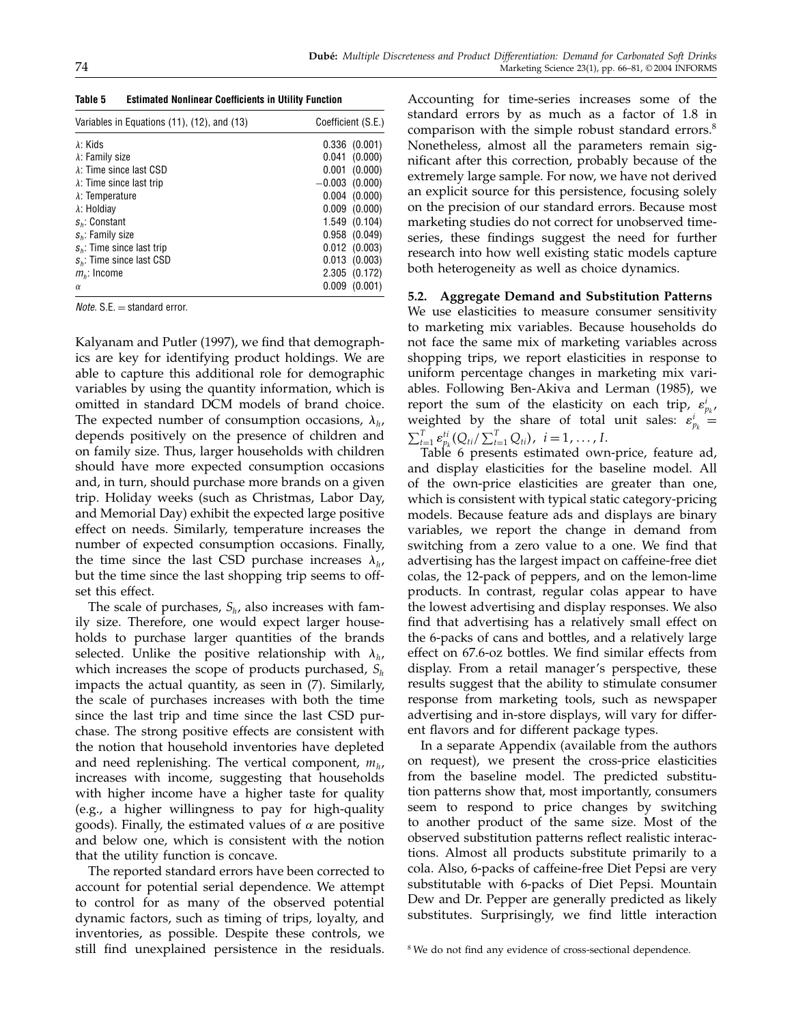| Table 5 |  | <b>Estimated Nonlinear Coefficients in Utility Function</b> |  |
|---------|--|-------------------------------------------------------------|--|
|---------|--|-------------------------------------------------------------|--|

| Variables in Equations (11), (12), and (13) | Coefficient (S.E.) |
|---------------------------------------------|--------------------|
| $\lambda$ : Kids                            | 0.336(0.001)       |
| $\lambda$ : Family size                     | $0.041$ (0.000)    |
| $\lambda$ : Time since last CSD             | $0.001$ $(0.000)$  |
| $\lambda$ : Time since last trip            | $-0.003$ (0.000)   |
| $\lambda$ : Temperature                     | $0.004$ $(0.000)$  |
| $\lambda$ : Holdiav                         | $0.009$ $(0.000)$  |
| s <sub>h</sub> : Constant                   | 1.549 (0.104)      |
| $s_h$ : Family size                         | $0.958$ $(0.049)$  |
| $s_h$ : Time since last trip                | $0.012$ $(0.003)$  |
| $s_h$ : Time since last CSD                 | $0.013$ $(0.003)$  |
| $m_h$ : Income                              | 2.305 (0.172)      |
| $\alpha$                                    | $0.009$ $(0.001)$  |

 $Note. S.E. = standard error.$ 

Kalyanam and Putler (1997), we find that demographics are key for identifying product holdings. We are able to capture this additional role for demographic variables by using the quantity information, which is omitted in standard DCM models of brand choice. The expected number of consumption occasions,  $\lambda_{h}$ , depends positively on the presence of children and on family size. Thus, larger households with children should have more expected consumption occasions and, in turn, should purchase more brands on a given trip. Holiday weeks (such as Christmas, Labor Day, and Memorial Day) exhibit the expected large positive effect on needs. Similarly, temperature increases the number of expected consumption occasions. Finally, the time since the last CSD purchase increases  $\lambda_{h}$ , but the time since the last shopping trip seems to offset this effect.

The scale of purchases,  $S_h$ , also increases with family size. Therefore, one would expect larger households to purchase larger quantities of the brands selected. Unlike the positive relationship with  $\lambda_h$ , which increases the scope of products purchased,  $S_h$ impacts the actual quantity, as seen in (7). Similarly, the scale of purchases increases with both the time since the last trip and time since the last CSD purchase. The strong positive effects are consistent with the notion that household inventories have depleted and need replenishing. The vertical component,  $m_h$ , increases with income, suggesting that households with higher income have a higher taste for quality (e.g., a higher willingness to pay for high-quality goods). Finally, the estimated values of  $\alpha$  are positive and below one, which is consistent with the notion that the utility function is concave.

The reported standard errors have been corrected to account for potential serial dependence. We attempt to control for as many of the observed potential dynamic factors, such as timing of trips, loyalty, and inventories, as possible. Despite these controls, we still find unexplained persistence in the residuals.

Accounting for time-series increases some of the standard errors by as much as a factor of 1.8 in comparison with the simple robust standard errors.<sup>8</sup> Nonetheless, almost all the parameters remain significant after this correction, probably because of the extremely large sample. For now, we have not derived an explicit source for this persistence, focusing solely on the precision of our standard errors. Because most marketing studies do not correct for unobserved timeseries, these findings suggest the need for further research into how well existing static models capture both heterogeneity as well as choice dynamics.

## 5.2. Aggregate Demand and Substitution Patterns

We use elasticities to measure consumer sensitivity to marketing mix variables. Because households do not face the same mix of marketing variables across shopping trips, we report elasticities in response to uniform percentage changes in marketing mix variables. Following Ben-Akiva and Lerman (1985), we report the sum of the elasticity on each trip,  $\varepsilon_{p_k}^i$ , weighted by the share of total unit sales:  $\varepsilon_{p_k}^i = \sum_{i=1}^T \varepsilon_{ij}^{ti} (O_{ij}/\sum_{i=1}^T O_{ij}), i = 1, ..., I.$  $t_{t=1}^T \varepsilon_{p_k}^{ti} (Q_{ti}/\sum_{t=1}^T Q_{ti}), \ \ i=1,\ldots, I.$ 

Table 6 presents estimated own-price, feature ad, and display elasticities for the baseline model. All of the own-price elasticities are greater than one, which is consistent with typical static category-pricing models. Because feature ads and displays are binary variables, we report the change in demand from switching from a zero value to a one. We find that advertising has the largest impact on caffeine-free diet colas, the 12-pack of peppers, and on the lemon-lime products. In contrast, regular colas appear to have the lowest advertising and display responses. We also find that advertising has a relatively small effect on the 6-packs of cans and bottles, and a relatively large effect on 67.6-oz bottles. We find similar effects from display. From a retail manager's perspective, these results suggest that the ability to stimulate consumer response from marketing tools, such as newspaper advertising and in-store displays, will vary for different flavors and for different package types.

In a separate Appendix (available from the authors on request), we present the cross-price elasticities from the baseline model. The predicted substitution patterns show that, most importantly, consumers seem to respond to price changes by switching to another product of the same size. Most of the observed substitution patterns reflect realistic interactions. Almost all products substitute primarily to a cola. Also, 6-packs of caffeine-free Diet Pepsi are very substitutable with 6-packs of Diet Pepsi. Mountain Dew and Dr. Pepper are generally predicted as likely substitutes. Surprisingly, we find little interaction

<sup>8</sup> We do not find any evidence of cross-sectional dependence.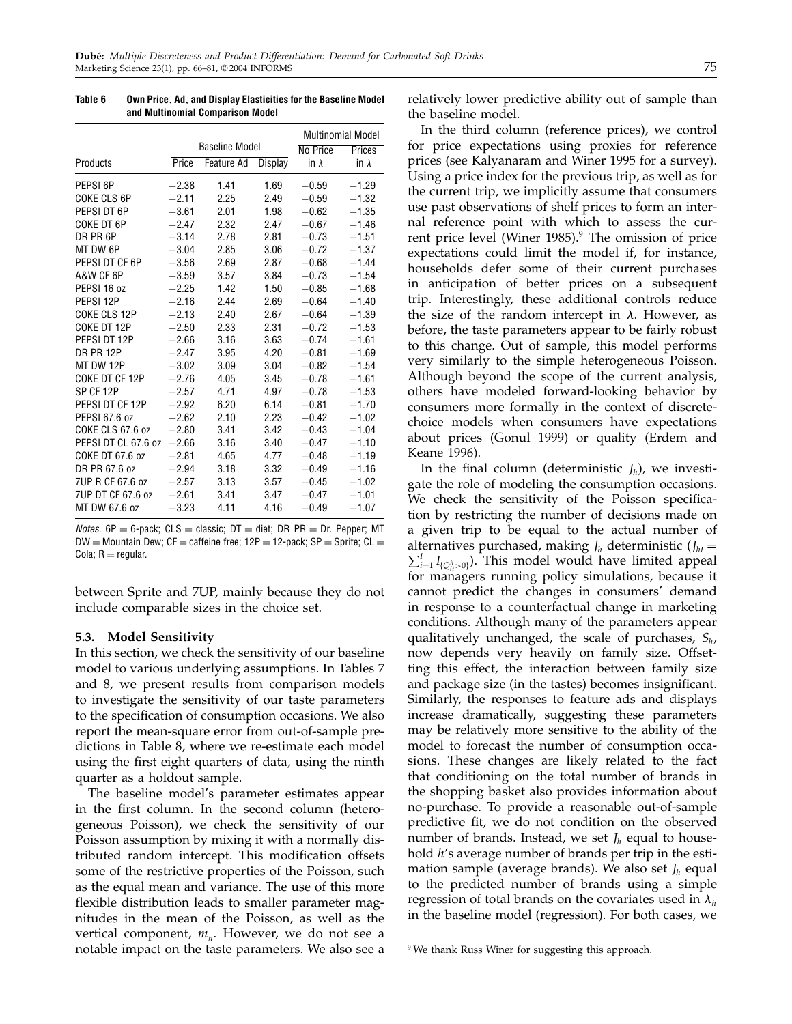|                     |         |                       |         |              | <b>Multinomial Model</b> |
|---------------------|---------|-----------------------|---------|--------------|--------------------------|
|                     |         | <b>Baseline Model</b> |         | No Price     | Prices                   |
| Products            | Price   | Feature Ad            | Display | in $\lambda$ | in $\lambda$             |
| PEPSI 6P            | $-2.38$ | 1.41                  | 1.69    | $-0.59$      | $-1.29$                  |
| COKE CLS 6P         | $-2.11$ | 2.25                  | 2.49    | $-0.59$      | $-1.32$                  |
| PEPSI DT 6P         | $-3.61$ | 2.01                  | 1.98    | $-0.62$      | $-1.35$                  |
| COKE DT 6P          | $-2.47$ | 2.32                  | 2.47    | $-0.67$      | $-1.46$                  |
| DR PR 6P            | $-3.14$ | 2.78                  | 2.81    | $-0.73$      | $-1.51$                  |
| MT DW 6P            | $-3.04$ | 2.85                  | 3.06    | $-0.72$      | $-1.37$                  |
| PEPSI DT CF 6P      | $-3.56$ | 2.69                  | 2.87    | $-0.68$      | $-1.44$                  |
| A&W CF 6P           | $-3.59$ | 3.57                  | 3.84    | $-0.73$      | $-1.54$                  |
| PEPSI 16 oz         | $-2.25$ | 1.42                  | 1.50    | $-0.85$      | $-1.68$                  |
| PEPSI 12P           | $-2.16$ | 2.44                  | 2.69    | $-0.64$      | $-1.40$                  |
| COKE CLS 12P        | $-2.13$ | 2.40                  | 2.67    | $-0.64$      | $-1.39$                  |
| COKE DT 12P         | $-2.50$ | 2.33                  | 2.31    | $-0.72$      | $-1.53$                  |
| PFPSI DT 12P        | $-2.66$ | 3.16                  | 3.63    | $-0.74$      | $-1.61$                  |
| <b>DR PR 12P</b>    | $-2.47$ | 3.95                  | 4.20    | $-0.81$      | $-1.69$                  |
| MT DW 12P           | $-3.02$ | 3.09                  | 3.04    | $-0.82$      | $-1.54$                  |
| COKE DT CF 12P      | $-2.76$ | 4.05                  | 3.45    | $-0.78$      | $-1.61$                  |
| SP CF 12P           | $-2.57$ | 4.71                  | 4.97    | $-0.78$      | $-1.53$                  |
| PEPSI DT CF 12P     | $-2.92$ | 6.20                  | 6.14    | $-0.81$      | $-1.70$                  |
| PEPSI 67.6 oz       | $-2.62$ | 2.10                  | 2.23    | $-0.42$      | $-1.02$                  |
| COKE CLS 67.6 oz    | $-2.80$ | 3.41                  | 3.42    | $-0.43$      | $-1.04$                  |
| PEPSI DT CL 67.6 oz | $-2.66$ | 3.16                  | 3.40    | $-0.47$      | $-1.10$                  |
| COKE DT 67.6 oz     | $-2.81$ | 4.65                  | 4.77    | $-0.48$      | $-1.19$                  |
| DR PR 67.6 oz       | $-2.94$ | 3.18                  | 3.32    | $-0.49$      | $-1.16$                  |
| 7UP R CF 67.6 oz    | $-2.57$ | 3.13                  | 3.57    | $-0.45$      | $-1.02$                  |
| 7UP DT CF 67.6 oz   | $-2.61$ | 3.41                  | 3.47    | $-0.47$      | $-1.01$                  |
| MT DW 67.6 oz       | $-3.23$ | 4.11                  | 4.16    | $-0.49$      | $-1.07$                  |

Table 6 Own Price, Ad, and Display Elasticities for the Baseline Model and Multinomial Comparison Model

*Notes.*  $6P = 6$ -pack;  $CLS =$  classic;  $DT =$  diet; DR  $PR = Dr$ . Pepper; MT  $DW =$  Mountain Dew; CF = caffeine free; 12P = 12-pack; SP = Sprite; CL = Cola;  $R =$  regular.

between Sprite and 7UP, mainly because they do not include comparable sizes in the choice set.

#### 5.3. Model Sensitivity

In this section, we check the sensitivity of our baseline model to various underlying assumptions. In Tables 7 and 8, we present results from comparison models to investigate the sensitivity of our taste parameters to the specification of consumption occasions. We also report the mean-square error from out-of-sample predictions in Table 8, where we re-estimate each model using the first eight quarters of data, using the ninth quarter as a holdout sample.

The baseline model's parameter estimates appear in the first column. In the second column (heterogeneous Poisson), we check the sensitivity of our Poisson assumption by mixing it with a normally distributed random intercept. This modification offsets some of the restrictive properties of the Poisson, such as the equal mean and variance. The use of this more flexible distribution leads to smaller parameter magnitudes in the mean of the Poisson, as well as the vertical component,  $m<sub>h</sub>$ . However, we do not see a notable impact on the taste parameters. We also see a

relatively lower predictive ability out of sample than the baseline model.

In the third column (reference prices), we control for price expectations using proxies for reference prices (see Kalyanaram and Winer 1995 for a survey). Using a price index for the previous trip, as well as for the current trip, we implicitly assume that consumers use past observations of shelf prices to form an internal reference point with which to assess the current price level (Winer  $1985$ ).<sup>9</sup> The omission of price expectations could limit the model if, for instance, households defer some of their current purchases in anticipation of better prices on a subsequent trip. Interestingly, these additional controls reduce the size of the random intercept in  $\lambda$ . However, as before, the taste parameters appear to be fairly robust to this change. Out of sample, this model performs very similarly to the simple heterogeneous Poisson. Although beyond the scope of the current analysis, others have modeled forward-looking behavior by consumers more formally in the context of discretechoice models when consumers have expectations about prices (Gonul 1999) or quality (Erdem and Keane 1996).

In the final column (deterministic  $J_h$ ), we investigate the role of modeling the consumption occasions. We check the sensitivity of the Poisson specification by restricting the number of decisions made on a given trip to be equal to the actual number of alternatives purchased, making  $J_h$  deterministic  $(J_{ht} =$  $\sum_{i=1}^{L} I_{\{Q_{it}^h > 0\}}$ ). This model would have limited appeal for managers running policy simulations, because it cannot predict the changes in consumers' demand in response to a counterfactual change in marketing conditions. Although many of the parameters appear qualitatively unchanged, the scale of purchases,  $S_h$ , now depends very heavily on family size. Offsetting this effect, the interaction between family size and package size (in the tastes) becomes insignificant. Similarly, the responses to feature ads and displays increase dramatically, suggesting these parameters may be relatively more sensitive to the ability of the model to forecast the number of consumption occasions. These changes are likely related to the fact that conditioning on the total number of brands in the shopping basket also provides information about no-purchase. To provide a reasonable out-of-sample predictive fit, we do not condition on the observed number of brands. Instead, we set  $J_h$  equal to household h's average number of brands per trip in the estimation sample (average brands). We also set  $J_h$  equal to the predicted number of brands using a simple regression of total brands on the covariates used in  $\lambda_h$ in the baseline model (regression). For both cases, we

<sup>&</sup>lt;sup>9</sup> We thank Russ Winer for suggesting this approach.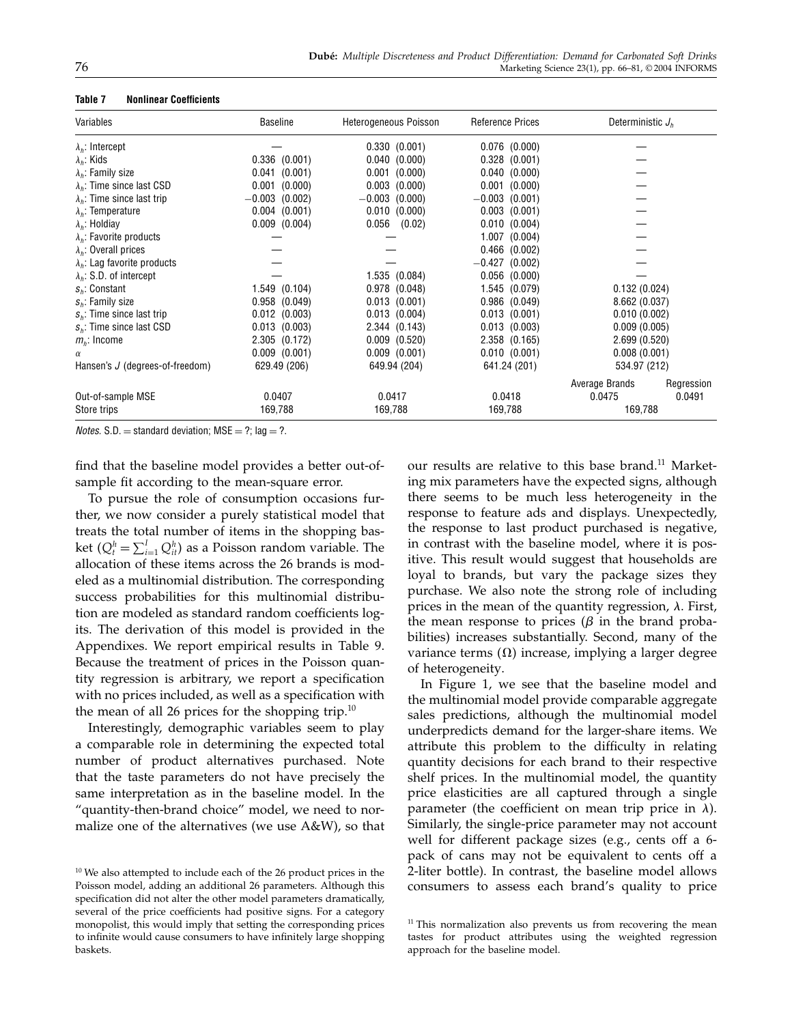| Variables                           | <b>Baseline</b>   | Heterogeneous Poisson | <b>Reference Prices</b> | Deterministic $J_h$          |
|-------------------------------------|-------------------|-----------------------|-------------------------|------------------------------|
| $\lambda_h$ : Intercept             |                   | 0.330(0.001)          | $0.076$ (0.000)         |                              |
| $\lambda_h$ : Kids                  | 0.336(0.001)      | 0.040(0.000)          | $0.328$ $(0.001)$       |                              |
| $\lambda_h$ : Family size           | (0.001)<br>0.041  | $0.001$ (0.000)       | 0.040(0.000)            |                              |
| $\lambda_h$ : Time since last CSD   | (0.000)<br>0.001  | $0.003$ $(0.000)$     | 0.001<br>(0.000)        |                              |
| $\lambda_h$ : Time since last trip  | $-0.003$ (0.002)  | $-0.003$ (0.000)      | $-0.003$ (0.001)        |                              |
| $\lambda_h$ : Temperature           | $0.004$ $(0.001)$ | 0.010(0.000)          | $0.003$ $(0.001)$       |                              |
| $\lambda_h$ : Holdiay               | $0.009$ $(0.004)$ | 0.056<br>(0.02)       | 0.010(0.004)            |                              |
| $\lambda_h$ : Favorite products     |                   |                       | 1.007 (0.004)           |                              |
| $\lambda_h$ : Overall prices        |                   |                       | $0.466$ $(0.002)$       |                              |
| $\lambda_h$ : Lag favorite products |                   |                       | $-0.427(0.002)$         |                              |
| $\lambda_h$ : S.D. of intercept     |                   | 1.535 (0.084)         | $0.056$ (0.000)         |                              |
| $s_h$ : Constant                    | 1.549(0.104)      | $0.978$ $(0.048)$     | 1.545 (0.079)           | 0.132(0.024)                 |
| $s_h$ : Family size                 | 0.958(0.049)      | $0.013$ $(0.001)$     | $0.986$ $(0.049)$       | 8.662 (0.037)                |
| $s_h$ : Time since last trip        | $0.012$ $(0.003)$ | $0.013$ $(0.004)$     | $0.013$ $(0.001)$       | 0.010(0.002)                 |
| $s_h$ : Time since last CSD         | $0.013$ $(0.003)$ | 2.344 (0.143)         | $0.013$ $(0.003)$       | 0.009(0.005)                 |
| $m_h$ : Income                      | 2.305 (0.172)     | $0.009$ $(0.520)$     | 2.358 (0.165)           | 2.699(0.520)                 |
| $\alpha$                            | $0.009$ $(0.001)$ | $0.009$ $(0.001)$     | 0.010(0.001)            | 0.008(0.001)                 |
| Hansen's J (degrees-of-freedom)     | 629.49 (206)      | 649.94 (204)          | 641.24 (201)            | 534.97 (212)                 |
|                                     |                   |                       |                         | Average Brands<br>Regression |
| Out-of-sample MSE                   | 0.0407            | 0.0417                | 0.0418                  | 0.0491<br>0.0475             |
| Store trips                         | 169,788           | 169,788               | 169,788                 | 169,788                      |

#### Table 7 Nonlinear Coefficients

*Notes.* S.D. = standard deviation;  $MSE = ?$ ; lag = ?.

find that the baseline model provides a better out-ofsample fit according to the mean-square error.

To pursue the role of consumption occasions further, we now consider a purely statistical model that treats the total number of items in the shopping basket  $(Q_t^h = \sum_{i=1}^I Q_{it}^h)$  as a Poisson random variable. The allocation of these items across the 26 brands is modeled as a multinomial distribution. The corresponding success probabilities for this multinomial distribution are modeled as standard random coefficients logits. The derivation of this model is provided in the Appendixes. We report empirical results in Table 9. Because the treatment of prices in the Poisson quantity regression is arbitrary, we report a specification with no prices included, as well as a specification with the mean of all 26 prices for the shopping trip. $^{10}$ 

Interestingly, demographic variables seem to play a comparable role in determining the expected total number of product alternatives purchased. Note that the taste parameters do not have precisely the same interpretation as in the baseline model. In the "quantity-then-brand choice" model, we need to normalize one of the alternatives (we use A&W), so that our results are relative to this base brand.<sup>11</sup> Marketing mix parameters have the expected signs, although there seems to be much less heterogeneity in the response to feature ads and displays. Unexpectedly, the response to last product purchased is negative, in contrast with the baseline model, where it is positive. This result would suggest that households are loyal to brands, but vary the package sizes they purchase. We also note the strong role of including prices in the mean of the quantity regression,  $\lambda$ . First, the mean response to prices  $(\beta$  in the brand probabilities) increases substantially. Second, many of the variance terms  $(Ω)$  increase, implying a larger degree of heterogeneity.

In Figure 1, we see that the baseline model and the multinomial model provide comparable aggregate sales predictions, although the multinomial model underpredicts demand for the larger-share items. We attribute this problem to the difficulty in relating quantity decisions for each brand to their respective shelf prices. In the multinomial model, the quantity price elasticities are all captured through a single parameter (the coefficient on mean trip price in  $\lambda$ ). Similarly, the single-price parameter may not account well for different package sizes (e.g., cents off a 6 pack of cans may not be equivalent to cents off a 2-liter bottle). In contrast, the baseline model allows consumers to assess each brand's quality to price

<sup>&</sup>lt;sup>10</sup> We also attempted to include each of the 26 product prices in the Poisson model, adding an additional 26 parameters. Although this specification did not alter the other model parameters dramatically, several of the price coefficients had positive signs. For a category monopolist, this would imply that setting the corresponding prices to infinite would cause consumers to have infinitely large shopping baskets.

<sup>&</sup>lt;sup>11</sup> This normalization also prevents us from recovering the mean tastes for product attributes using the weighted regression approach for the baseline model.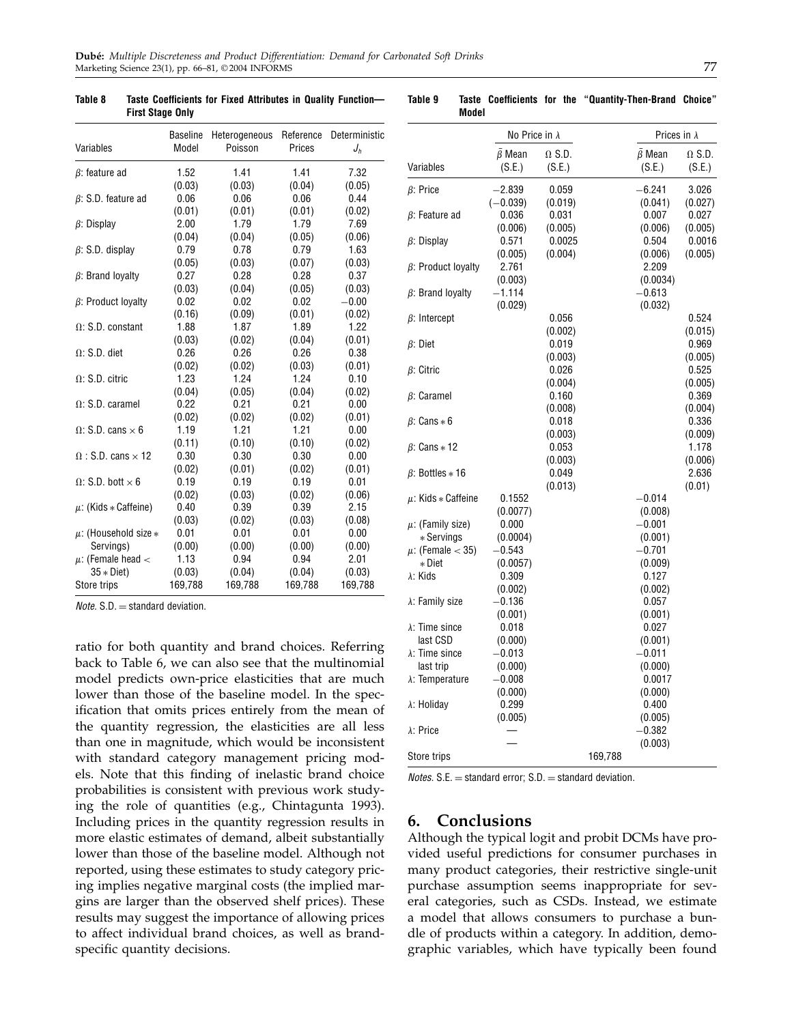| Variables                        | <b>Baseline</b><br>Model | Heterogeneous<br>Poisson | Reference<br>Prices | Deterministic<br>$J_h$ |
|----------------------------------|--------------------------|--------------------------|---------------------|------------------------|
| $\beta$ : feature ad             | 1.52                     | 1.41                     | 1.41                | 7.32                   |
|                                  | (0.03)                   | (0.03)                   | (0.04)              | (0.05)                 |
| $\beta$ : S.D. feature ad        | 0.06                     | 0.06                     | 0.06                | 0.44                   |
|                                  | (0.01)                   | (0.01)                   | (0.01)              | (0.02)                 |
| $\beta$ : Display                | 2.00                     | 1.79                     | 1.79                | 7.69                   |
|                                  | (0.04)                   | (0.04)                   | (0.05)              | (0.06)                 |
| $\beta$ : S.D. display           | 0.79                     | 0.78                     | 0.79                | 1.63                   |
|                                  | (0.05)                   | (0.03)                   | (0.07)              | (0.03)                 |
| $\beta$ : Brand loyalty          | 0.27                     | 0.28                     | 0.28                | 0.37                   |
|                                  | (0.03)                   | (0.04)                   | (0.05)              | (0.03)                 |
| $\beta$ : Product loyalty        | 0.02                     | 0.02                     | 0.02                | $-0.00$                |
|                                  | (0.16)                   | (0.09)                   | (0.01)              | (0.02)                 |
| $\Omega$ : S.D. constant         | 1.88                     | 1.87                     | 1.89                | 1.22                   |
|                                  | (0.03)                   | (0.02)                   | (0.04)              | (0.01)                 |
| $\Omega$ : S.D. diet             | 0.26                     | 0.26                     | 0.26                | 0.38                   |
|                                  | (0.02)                   | (0.02)                   | (0.03)              | (0.01)                 |
| $\Omega$ : S.D. citric           | 1.23                     | 1.24                     | 1.24                | 0.10                   |
|                                  | (0.04)                   | (0.05)                   | (0.04)              | (0.02)                 |
| $\Omega$ : S.D. caramel          | 0.22                     | 0.21                     | 0.21                | 0.00                   |
|                                  | (0.02)                   | (0.02)                   | (0.02)              | (0.01)                 |
| $\Omega$ : S.D. cans $\times$ 6  | 1.19                     | 1.21                     | 1.21                | 0.00                   |
|                                  | (0.11)                   | (0.10)                   | (0.10)              | (0.02)                 |
| $\Omega$ : S.D. cans $\times$ 12 | 0.30                     | 0.30                     | 0.30                | 0.00                   |
|                                  | (0.02)                   | (0.01)                   | (0.02)              | (0.01)                 |
| $\Omega$ : S.D. bott $\times$ 6  | 0.19                     | 0.19                     | 0.19                | 0.01                   |
|                                  | (0.02)                   | (0.03)                   | (0.02)              | (0.06)                 |
| $\mu$ : (Kids $*$ Caffeine)      | 0.40                     | 0.39                     | 0.39                | 2.15                   |
|                                  | (0.03)                   | (0.02)                   | (0.03)              | (0.08)                 |
| $\mu$ : (Household size $\ast$   | 0.01                     | 0.01                     | 0.01                | 0.00                   |
| Servings)                        | (0.00)                   | (0.00)                   | (0.00)              | (0.00)                 |
| $\mu$ : (Female head <           | 1.13                     | 0.94                     | 0.94                | 2.01                   |
| $35 * Diet$ )                    | (0.03)                   | (0.04)                   | (0.04)              | (0.03)                 |
| Store trips                      | 169,788                  | 169,788                  | 169,788             | 169,788                |

Table 8 Taste Coefficients for Fixed Attributes in Quality Function— First Stage Only

| Table 9 |       |  | Taste Coefficients for the "Quantity-Then-Brand Choice" |  |
|---------|-------|--|---------------------------------------------------------|--|
|         | Model |  |                                                         |  |

No Price in  $\lambda$ 

| Variables                    | $\overline{\beta}$ Mean<br>(S.E.) | $\Omega$ S.D.<br>(S.E.) |         | $\bar{\beta}$ Mean<br>(S.E.) | $\Omega$ S.D.<br>(S.E.) |
|------------------------------|-----------------------------------|-------------------------|---------|------------------------------|-------------------------|
| $\beta$ : Price              | $-2.839$                          | 0.059                   |         | $-6.241$                     | 3.026                   |
|                              | $(-0.039)$                        | (0.019)                 |         | (0.041)                      | (0.027)                 |
| $\beta$ : Feature ad         | 0.036                             | 0.031                   |         | 0.007                        | 0.027                   |
|                              | (0.006)                           | (0.005)                 |         | (0.006)                      | (0.005)                 |
| $\beta$ : Display            | 0.571                             | 0.0025                  |         | 0.504                        | 0.0016                  |
| $\beta$ : Product loyalty    | (0.005)                           | (0.004)                 |         | (0.006)                      | (0.005)                 |
|                              | 2.761                             |                         |         | 2.209                        |                         |
| $\beta$ : Brand loyalty      | (0.003)                           |                         |         | (0.0034)                     |                         |
|                              | $-1.114$                          |                         |         | $-0.613$                     |                         |
| $\beta$ : Intercept          | (0.029)                           | 0.056                   |         | (0.032)                      | 0.524                   |
|                              |                                   | (0.002)                 |         |                              | (0.015)                 |
| $\beta$ : Diet               |                                   | 0.019                   |         |                              | 0.969                   |
|                              |                                   | (0.003)                 |         |                              | (0.005)                 |
| $\beta$ : Citric             |                                   | 0.026                   |         |                              | 0.525                   |
|                              |                                   | (0.004)                 |         |                              | (0.005)                 |
| $\beta$ : Caramel            |                                   | 0.160                   |         |                              | 0.369                   |
|                              |                                   | (0.008)                 |         |                              | (0.004)                 |
| $\beta$ : Cans $\ast$ 6      |                                   | 0.018                   |         |                              | 0.336                   |
|                              |                                   | (0.003)                 |         |                              | (0.009)                 |
| $\beta$ : Cans $*$ 12        |                                   | 0.053                   |         |                              | 1.178                   |
| $\beta$ : Bottles $*$ 16     |                                   | (0.003)                 |         |                              | (0.006)                 |
|                              |                                   | 0.049                   |         |                              | 2.636                   |
| $\mu$ : Kids $\ast$ Caffeine |                                   | (0.013)                 |         |                              | (0.01)                  |
|                              | 0.1552<br>(0.0077)                |                         |         | $-0.014$<br>(0.008)          |                         |
| $\mu$ : (Family size)        | 0.000                             |                         |         | $-0.001$                     |                         |
| * Servings                   | (0.0004)                          |                         |         | (0.001)                      |                         |
| $\mu$ : (Female $<$ 35)      | $-0.543$                          |                         |         | $-0.701$                     |                         |
| * Diet                       | (0.0057)                          |                         |         | (0.009)                      |                         |
| λ: Kids                      | 0.309                             |                         |         | 0.127                        |                         |
|                              | (0.002)                           |                         |         | (0.002)                      |                         |
| $\lambda$ : Family size      | $-0.136$                          |                         |         | 0.057                        |                         |
|                              | (0.001)                           |                         |         | (0.001)                      |                         |
| $\lambda$ : Time since       | 0.018                             |                         |         | 0.027                        |                         |
| last CSD                     | (0.000)                           |                         |         | (0.001)                      |                         |
| $\lambda$ : Time since       | $-0.013$                          |                         |         | $-0.011$                     |                         |
| last trip                    | (0.000)                           |                         |         | (0.000)                      |                         |
| $\lambda$ : Temperature      | $-0.008$                          |                         |         | 0.0017                       |                         |
| λ: Holiday                   | (0.000)<br>0.299                  |                         |         | (0.000)<br>0.400             |                         |
|                              | (0.005)                           |                         |         | (0.005)                      |                         |
| $\lambda$ : Price            |                                   |                         |         | $-0.382$                     |                         |
|                              |                                   |                         |         | (0.003)                      |                         |
| <b>Store trips</b>           |                                   |                         | 169,788 |                              |                         |
|                              |                                   |                         |         |                              |                         |

*Notes.*  $S.E. = standard error$ ;  $S.D. = standard deviation$ .

# 6. Conclusions

Although the typical logit and probit DCMs have provided useful predictions for consumer purchases in many product categories, their restrictive single-unit purchase assumption seems inappropriate for several categories, such as CSDs. Instead, we estimate a model that allows consumers to purchase a bundle of products within a category. In addition, demographic variables, which have typically been found

 $Note. S.D. = standard deviation.$ 

ratio for both quantity and brand choices. Referring back to Table 6, we can also see that the multinomial model predicts own-price elasticities that are much lower than those of the baseline model. In the specification that omits prices entirely from the mean of the quantity regression, the elasticities are all less than one in magnitude, which would be inconsistent with standard category management pricing models. Note that this finding of inelastic brand choice probabilities is consistent with previous work studying the role of quantities (e.g., Chintagunta 1993). Including prices in the quantity regression results in more elastic estimates of demand, albeit substantially lower than those of the baseline model. Although not reported, using these estimates to study category pricing implies negative marginal costs (the implied margins are larger than the observed shelf prices). These results may suggest the importance of allowing prices to affect individual brand choices, as well as brandspecific quantity decisions.

Prices in  $\lambda$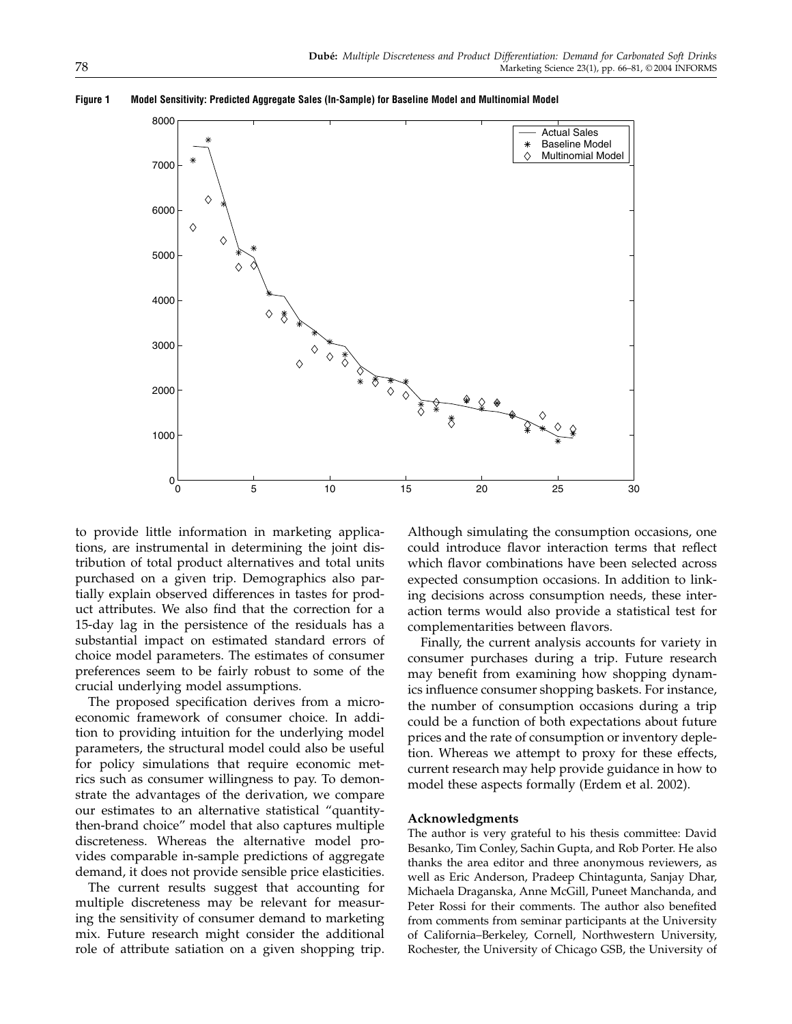

Figure 1 Model Sensitivity: Predicted Aggregate Sales (In-Sample) for Baseline Model and Multinomial Model

to provide little information in marketing applications, are instrumental in determining the joint distribution of total product alternatives and total units purchased on a given trip. Demographics also partially explain observed differences in tastes for product attributes. We also find that the correction for a 15-day lag in the persistence of the residuals has a substantial impact on estimated standard errors of choice model parameters. The estimates of consumer preferences seem to be fairly robust to some of the crucial underlying model assumptions.

The proposed specification derives from a microeconomic framework of consumer choice. In addition to providing intuition for the underlying model parameters, the structural model could also be useful for policy simulations that require economic metrics such as consumer willingness to pay. To demonstrate the advantages of the derivation, we compare our estimates to an alternative statistical "quantitythen-brand choice" model that also captures multiple discreteness. Whereas the alternative model provides comparable in-sample predictions of aggregate demand, it does not provide sensible price elasticities.

The current results suggest that accounting for multiple discreteness may be relevant for measuring the sensitivity of consumer demand to marketing mix. Future research might consider the additional role of attribute satiation on a given shopping trip.

Although simulating the consumption occasions, one could introduce flavor interaction terms that reflect which flavor combinations have been selected across expected consumption occasions. In addition to linking decisions across consumption needs, these interaction terms would also provide a statistical test for complementarities between flavors.

Finally, the current analysis accounts for variety in consumer purchases during a trip. Future research may benefit from examining how shopping dynamics influence consumer shopping baskets. For instance, the number of consumption occasions during a trip could be a function of both expectations about future prices and the rate of consumption or inventory depletion. Whereas we attempt to proxy for these effects, current research may help provide guidance in how to model these aspects formally (Erdem et al. 2002).

#### Acknowledgments

The author is very grateful to his thesis committee: David Besanko, Tim Conley, Sachin Gupta, and Rob Porter. He also thanks the area editor and three anonymous reviewers, as well as Eric Anderson, Pradeep Chintagunta, Sanjay Dhar, Michaela Draganska, Anne McGill, Puneet Manchanda, and Peter Rossi for their comments. The author also benefited from comments from seminar participants at the University of California–Berkeley, Cornell, Northwestern University, Rochester, the University of Chicago GSB, the University of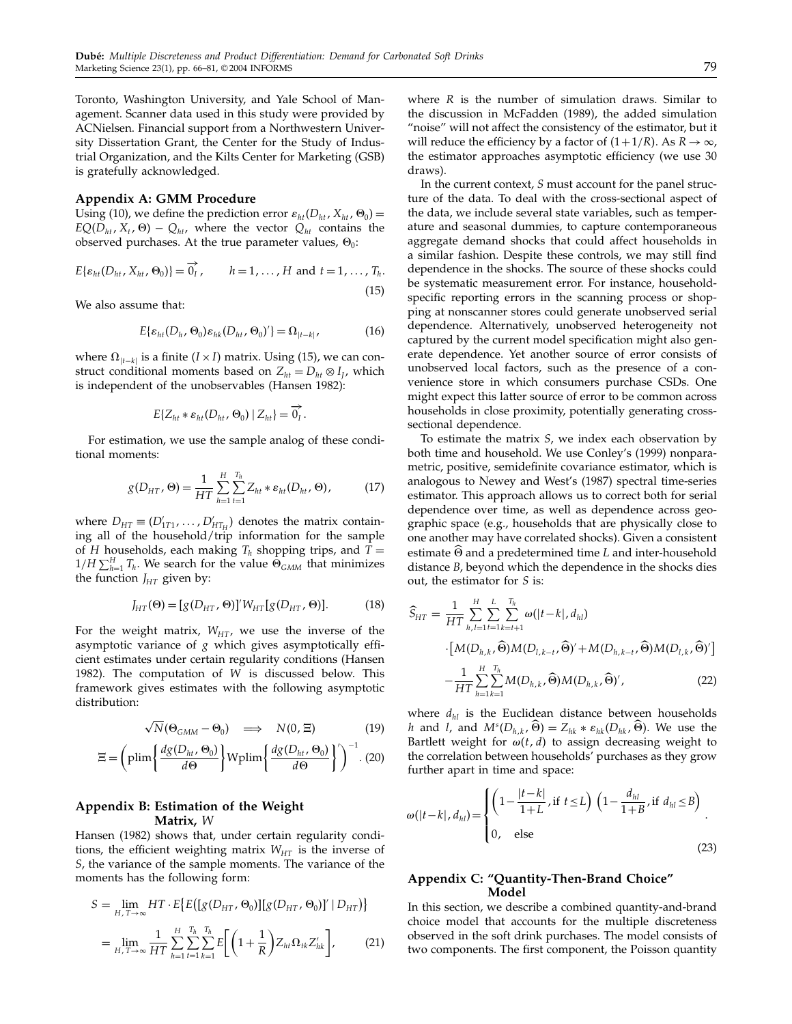Toronto, Washington University, and Yale School of Management. Scanner data used in this study were provided by ACNielsen. Financial support from a Northwestern University Dissertation Grant, the Center for the Study of Industrial Organization, and the Kilts Center for Marketing (GSB) is gratefully acknowledged.

#### Appendix A: GMM Procedure

Using (10), we define the prediction error  $\varepsilon_{ht}(D_{ht}, X_{ht}, \Theta_0) =$  $EQ(D_{ht}, X_t, \Theta) - Q_{ht}$ , where the vector  $Q_{ht}$  contains the observed purchases. At the true parameter values,  $\Theta_0$ :

$$
E\{\varepsilon_{ht}(D_{ht}, X_{ht}, \Theta_0)\} = \overrightarrow{0}_I, \qquad h = 1, \ldots, H \text{ and } t = 1, \ldots, T_h.
$$
\n(15)

We also assume that:

$$
E\{\varepsilon_{ht}(D_h,\Theta_0)\varepsilon_{hk}(D_{ht},\Theta_0)'\}=\Omega_{|t-k|},\qquad\qquad(16)
$$

where  $\Omega_{|t-k|}$  is a finite (*I × I*) matrix. Using (15), we can construct conditional moments based on  $Z_{ht} = D_{ht} \otimes I_{I}$ , which is independent of the unobservables (Hansen 1982):

$$
E\{Z_{ht} * \varepsilon_{ht}(D_{ht}, \Theta_0) | Z_{ht}\} = \overrightarrow{0_I}.
$$

For estimation, we use the sample analog of these conditional moments:

$$
g(D_{HT},\Theta) = \frac{1}{HT} \sum_{h=1}^{H} \sum_{t=1}^{T_h} Z_{ht} * \varepsilon_{ht}(D_{ht},\Theta), \qquad (17)
$$

where  $D_{HT} \equiv (D'_{1T1}, \ldots, D'_{HT_H})$  denotes the matrix containing all of the household/trip information for the sample of H households, each making  $T_h$  shopping trips, and  $T =$  $1/H \sum_{h=1}^{H} T_h$ . We search for the value  $\Theta_{GMM}$  that minimizes the function  $J_{HT}$  given by:

$$
J_{HT}(\Theta) = [g(D_{HT}, \Theta)]' W_{HT}[g(D_{HT}, \Theta)].
$$
 (18)

For the weight matrix,  $W_{HT}$ , we use the inverse of the asymptotic variance of  $g$  which gives asymptotically efficient estimates under certain regularity conditions (Hansen 1982). The computation of W is discussed below. This framework gives estimates with the following asymptotic distribution:

$$
\sqrt{N}(\Theta_{GMM} - \Theta_0) \quad \Longrightarrow \quad N(0, \Xi) \tag{19}
$$

$$
\Xi = \left(\text{plim}\left\{\frac{dg(D_{ht}, \Theta_0)}{d\Theta}\right\}\text{Wplim}\left\{\frac{dg(D_{ht}, \Theta_0)}{d\Theta}\right\}'\right)^{-1}.\text{ (20)}
$$

#### Appendix B: Estimation of the Weight Matrix, W

Hansen (1982) shows that, under certain regularity conditions, the efficient weighting matrix  $W_{HT}$  is the inverse of S, the variance of the sample moments. The variance of the moments has the following form:

$$
S = \lim_{H, T \to \infty} HT \cdot E \{ E \left( [g(D_{HT}, \Theta_0)] [g(D_{HT}, \Theta_0)]' | D_{HT} \right) \}
$$
  
= 
$$
\lim_{H, T \to \infty} \frac{1}{HT} \sum_{h=1}^{H} \sum_{t=1}^{T_h} \sum_{k=1}^{T_h} E \left[ \left( 1 + \frac{1}{R} \right) Z_{ht} \Omega_{tk} Z'_{hk} \right],
$$
 (21)

where  $R$  is the number of simulation draws. Similar to the discussion in McFadden (1989), the added simulation "noise" will not affect the consistency of the estimator, but it will reduce the efficiency by a factor of  $(1+1/R)$ . As  $R \rightarrow \infty$ , the estimator approaches asymptotic efficiency (we use 30 draws).

In the current context, S must account for the panel structure of the data. To deal with the cross-sectional aspect of the data, we include several state variables, such as temperature and seasonal dummies, to capture contemporaneous aggregate demand shocks that could affect households in a similar fashion. Despite these controls, we may still find dependence in the shocks. The source of these shocks could be systematic measurement error. For instance, householdspecific reporting errors in the scanning process or shopping at nonscanner stores could generate unobserved serial dependence. Alternatively, unobserved heterogeneity not captured by the current model specification might also generate dependence. Yet another source of error consists of unobserved local factors, such as the presence of a convenience store in which consumers purchase CSDs. One might expect this latter source of error to be common across households in close proximity, potentially generating crosssectional dependence.

To estimate the matrix S, we index each observation by both time and household. We use Conley's (1999) nonparametric, positive, semidefinite covariance estimator, which is analogous to Newey and West's (1987) spectral time-series estimator. This approach allows us to correct both for serial dependence over time, as well as dependence across geographic space (e.g., households that are physically close to one another may have correlated shocks). Given a consistent estimate  $\widehat{\Theta}$  and a predetermined time L and inter-household distance B, beyond which the dependence in the shocks dies out, the estimator for S is:

$$
\widehat{S}_{HT} = \frac{1}{HT} \sum_{h,l=1}^{H} \sum_{t=1+1}^{L} \sum_{k=t+1}^{T_h} \omega(|t-k|, d_{hl})
$$

$$
\cdot [M(D_{h,k}, \widehat{\Theta})M(D_{l,k-t}, \widehat{\Theta})' + M(D_{h,k-t}, \widehat{\Theta})M(D_{l,k}, \widehat{\Theta})']
$$

$$
-\frac{1}{HT} \sum_{h=1}^{H} \sum_{k=1}^{T_h} M(D_{h,k}, \widehat{\Theta})M(D_{h,k}, \widehat{\Theta})',
$$
(22)

where  $d_{hl}$  is the Euclidean distance between households *h* and *l*, and  $M^s(D_{h,k}, \Theta) = Z_{hk} * \varepsilon_{hk}(D_{hk}, \Theta)$ . We use the Bartlett weight for  $\omega(t, d)$  to assign decreasing weight to the correlation between households' purchases as they grow further apart in time and space:

$$
\omega(|t-k|, d_{hl}) = \begin{cases} \left(1 - \frac{|t-k|}{1+L}, \text{if } t \le L\right) \left(1 - \frac{d_{hl}}{1+B}, \text{if } d_{hl} \le B\right) \\ 0, & \text{else} \end{cases}
$$
 (23)

#### Appendix C: "Quantity-Then-Brand Choice" Model

In this section, we describe a combined quantity-and-brand choice model that accounts for the multiple discreteness observed in the soft drink purchases. The model consists of two components. The first component, the Poisson quantity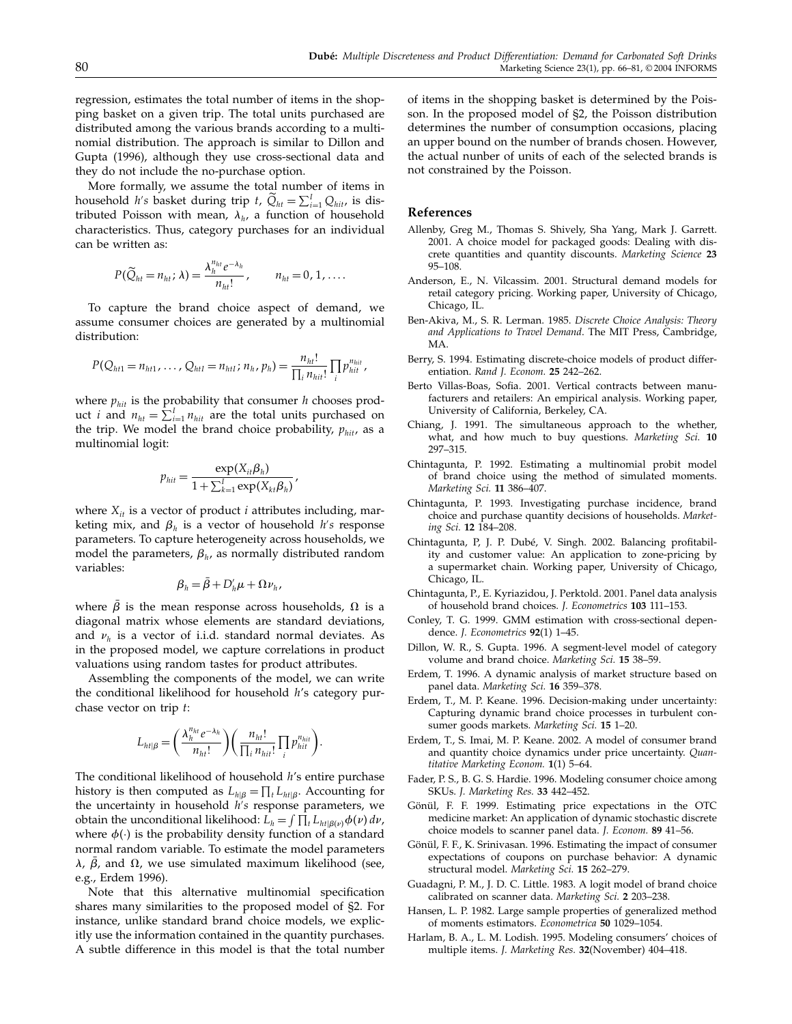regression, estimates the total number of items in the shopping basket on a given trip. The total units purchased are distributed among the various brands according to a multinomial distribution. The approach is similar to Dillon and Gupta (1996), although they use cross-sectional data and they do not include the no-purchase option.

More formally, we assume the total number of items in household *h's* basket during trip *t*,  $\widetilde{Q}_{ht} = \sum_{i=1}^{I} Q_{hit}$ , is distributed Poisson with mean,  $\lambda_h$ , a function of household characteristics. Thus, category purchases for an individual can be written as:

$$
P(\widetilde{Q}_{ht}=n_{ht};\lambda)=\frac{\lambda_h^{n_{ht}}e^{-\lambda_h}}{n_{ht}!},\qquad n_{ht}=0,1,\ldots
$$

To capture the brand choice aspect of demand, we assume consumer choices are generated by a multinomial distribution:

$$
P(Q_{ht1} = n_{ht1}, \ldots, Q_{htl} = n_{htl}; n_h, p_h) = \frac{n_{ht}!}{\prod_i n_{hit}!} \prod_i p_{hit}^{n_{hit}},
$$

where  $p_{hit}$  is the probability that consumer h chooses product *i* and  $n_{ht} = \sum_{i=1}^{l} n_{hit}$  are the total units purchased on the trip. We model the brand choice probability,  $p_{hit}$ , as a multinomial logit:

$$
p_{hit} = \frac{\exp(X_{it}\beta_h)}{1 + \sum_{k=1}^{I} \exp(X_{kt}\beta_h)},
$$

where  $X_{it}$  is a vector of product *i* attributes including, marketing mix, and  $\beta_h$  is a vector of household  $h's$  response parameters. To capture heterogeneity across households, we model the parameters,  $\beta_{h}$ , as normally distributed random variables:

$$
\beta_h = \bar{\beta} + D'_h \mu + \Omega \nu_h,
$$

where  $\beta$  is the mean response across households,  $\Omega$  is a diagonal matrix whose elements are standard deviations, and  $\nu_h$  is a vector of i.i.d. standard normal deviates. As in the proposed model, we capture correlations in product valuations using random tastes for product attributes.

Assembling the components of the model, we can write the conditional likelihood for household h's category purchase vector on trip t:

$$
L_{ht|\beta} = \left(\frac{\lambda_h^{n_{ht}}e^{-\lambda_h}}{n_{ht}!}\right)\left(\frac{n_{ht}!}{\prod_i n_{hit}!}\prod_i p_{hit}^{n_{hit}}\right).
$$

The conditional likelihood of household h's entire purchase history is then computed as  $L_{h|\beta} = \prod_t L_{ht|\beta}$ . Accounting for the uncertainty in household  $h$ 's response parameters, we obtain the unconditional likelihood:  $\hat{L}_h = \int \prod_t L_{ht|\beta(v)} \phi(v) dv$ , where  $\phi(\cdot)$  is the probability density function of a standard normal random variable. To estimate the model parameters  $\lambda$ ,  $\bar{\beta}$ , and  $\Omega$ , we use simulated maximum likelihood (see, e.g., Erdem 1996).

Note that this alternative multinomial specification shares many similarities to the proposed model of §2. For instance, unlike standard brand choice models, we explicitly use the information contained in the quantity purchases. A subtle difference in this model is that the total number of items in the shopping basket is determined by the Poisson. In the proposed model of §2, the Poisson distribution determines the number of consumption occasions, placing an upper bound on the number of brands chosen. However, the actual nunber of units of each of the selected brands is not constrained by the Poisson.

#### References

- Allenby, Greg M., Thomas S. Shively, Sha Yang, Mark J. Garrett. 2001. A choice model for packaged goods: Dealing with discrete quantities and quantity discounts. Marketing Science 23 95–108.
- Anderson, E., N. Vilcassim. 2001. Structural demand models for retail category pricing. Working paper, University of Chicago, Chicago, IL.
- Ben-Akiva, M., S. R. Lerman. 1985. Discrete Choice Analysis: Theory and Applications to Travel Demand. The MIT Press, Cambridge, MA.
- Berry, S. 1994. Estimating discrete-choice models of product differentiation. Rand J. Econom. 25 242–262.
- Berto Villas-Boas, Sofia. 2001. Vertical contracts between manufacturers and retailers: An empirical analysis. Working paper, University of California, Berkeley, CA.
- Chiang, J. 1991. The simultaneous approach to the whether, what, and how much to buy questions. Marketing Sci. 10 297–315.
- Chintagunta, P. 1992. Estimating a multinomial probit model of brand choice using the method of simulated moments. Marketing Sci. 11 386-407.
- Chintagunta, P. 1993. Investigating purchase incidence, brand choice and purchase quantity decisions of households. Marketing Sci. 12 184-208.
- Chintagunta, P, J. P. Dubé, V. Singh. 2002. Balancing profitability and customer value: An application to zone-pricing by a supermarket chain. Working paper, University of Chicago, Chicago, IL.
- Chintagunta, P., E. Kyriazidou, J. Perktold. 2001. Panel data analysis of household brand choices. J. Econometrics 103 111–153.
- Conley, T. G. 1999. GMM estimation with cross-sectional dependence. J. Econometrics 92(1) 1-45.
- Dillon, W. R., S. Gupta. 1996. A segment-level model of category volume and brand choice. Marketing Sci. 15 38-59.
- Erdem, T. 1996. A dynamic analysis of market structure based on panel data. Marketing Sci. 16 359-378.
- Erdem, T., M. P. Keane. 1996. Decision-making under uncertainty: Capturing dynamic brand choice processes in turbulent consumer goods markets. Marketing Sci. 15 1-20.
- Erdem, T., S. Imai, M. P. Keane. 2002. A model of consumer brand and quantity choice dynamics under price uncertainty. Quantitative Marketing Econom.  $1(1)$  5–64.
- Fader, P. S., B. G. S. Hardie. 1996. Modeling consumer choice among SKUs. J. Marketing Res. 33 442-452.
- Gönül, F. F. 1999. Estimating price expectations in the OTC medicine market: An application of dynamic stochastic discrete choice models to scanner panel data. J. Econom. 89 41–56.
- Gönül, F. F., K. Srinivasan. 1996. Estimating the impact of consumer expectations of coupons on purchase behavior: A dynamic structural model. Marketing Sci. 15 262-279.
- Guadagni, P. M., J. D. C. Little. 1983. A logit model of brand choice calibrated on scanner data. Marketing Sci. 2 203-238.
- Hansen, L. P. 1982. Large sample properties of generalized method of moments estimators. Econometrica 50 1029–1054.
- Harlam, B. A., L. M. Lodish. 1995. Modeling consumers' choices of multiple items. J. Marketing Res. 32(November) 404-418.